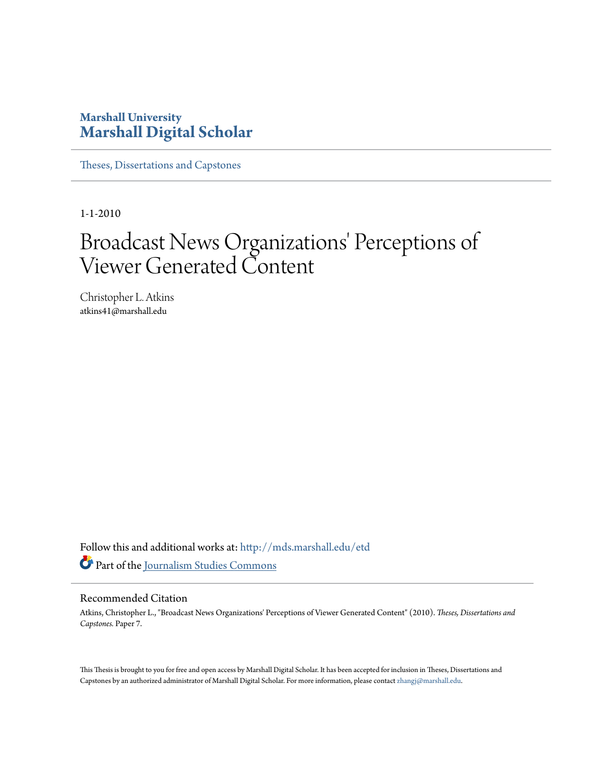## **Marshall University [Marshall Digital Scholar](http://mds.marshall.edu?utm_source=mds.marshall.edu%2Fetd%2F7&utm_medium=PDF&utm_campaign=PDFCoverPages)**

[Theses, Dissertations and Capstones](http://mds.marshall.edu/etd?utm_source=mds.marshall.edu%2Fetd%2F7&utm_medium=PDF&utm_campaign=PDFCoverPages)

1-1-2010

# Broadcast News Organizations' Perceptions of Viewer Generated Content

Christopher L. Atkins atkins41@marshall.edu

Follow this and additional works at: [http://mds.marshall.edu/etd](http://mds.marshall.edu/etd?utm_source=mds.marshall.edu%2Fetd%2F7&utm_medium=PDF&utm_campaign=PDFCoverPages) Part of the [Journalism Studies Commons](http://network.bepress.com/hgg/discipline/333?utm_source=mds.marshall.edu%2Fetd%2F7&utm_medium=PDF&utm_campaign=PDFCoverPages)

#### Recommended Citation

Atkins, Christopher L., "Broadcast News Organizations' Perceptions of Viewer Generated Content" (2010). *Theses, Dissertations and Capstones.* Paper 7.

This Thesis is brought to you for free and open access by Marshall Digital Scholar. It has been accepted for inclusion in Theses, Dissertations and Capstones by an authorized administrator of Marshall Digital Scholar. For more information, please contact [zhangj@marshall.edu.](mailto:zhangj@marshall.edu)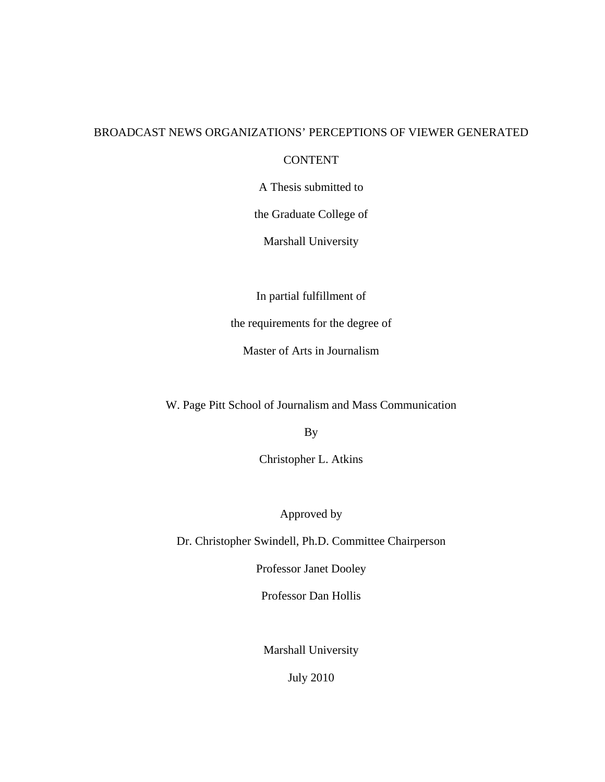### BROADCAST NEWS ORGANIZATIONS' PERCEPTIONS OF VIEWER GENERATED

#### **CONTENT**

A Thesis submitted to

the Graduate College of

Marshall University

In partial fulfillment of

the requirements for the degree of

Master of Arts in Journalism

W. Page Pitt School of Journalism and Mass Communication

By

Christopher L. Atkins

Approved by

Dr. Christopher Swindell, Ph.D. Committee Chairperson

Professor Janet Dooley

Professor Dan Hollis

Marshall University

July 2010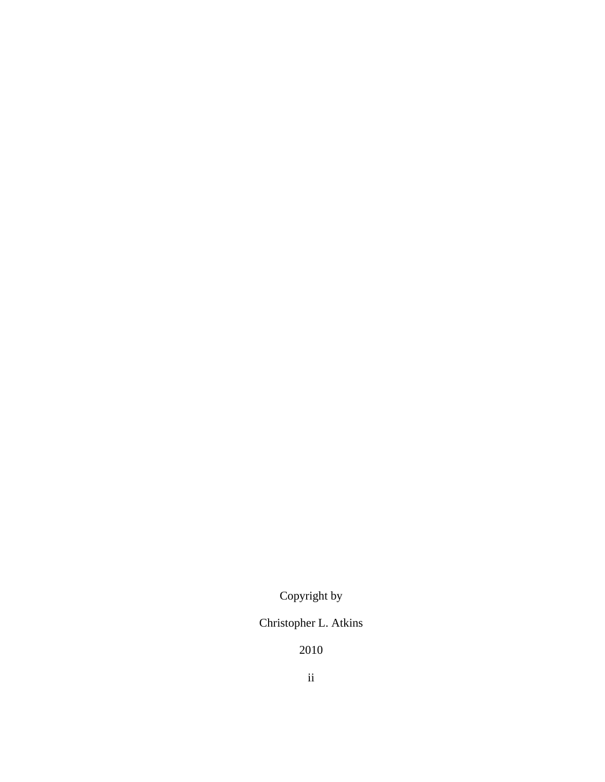## Copyright by

## Christopher L. Atkins

## 2010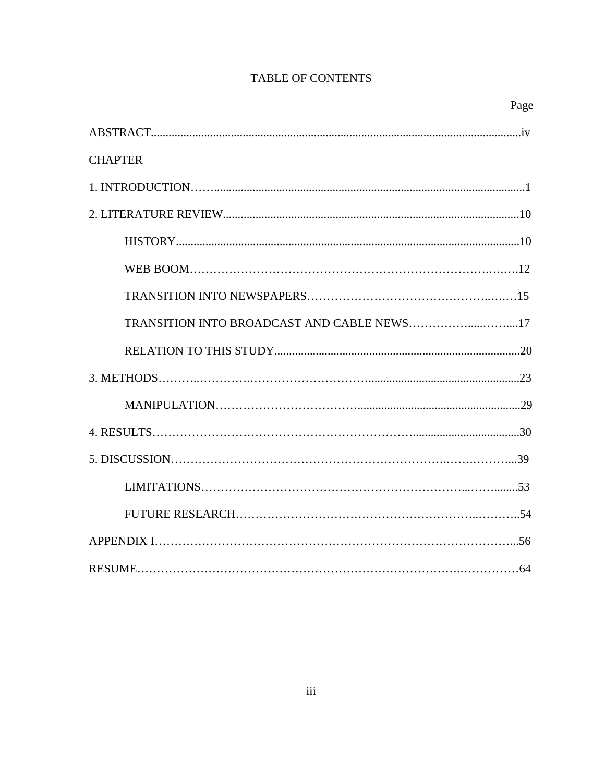|                                            | Page |
|--------------------------------------------|------|
|                                            |      |
| <b>CHAPTER</b>                             |      |
|                                            |      |
|                                            |      |
|                                            |      |
|                                            |      |
|                                            |      |
| TRANSITION INTO BROADCAST AND CABLE NEWS17 |      |
|                                            |      |
|                                            |      |
|                                            |      |
|                                            |      |
|                                            |      |
|                                            |      |
|                                            |      |
|                                            |      |
|                                            |      |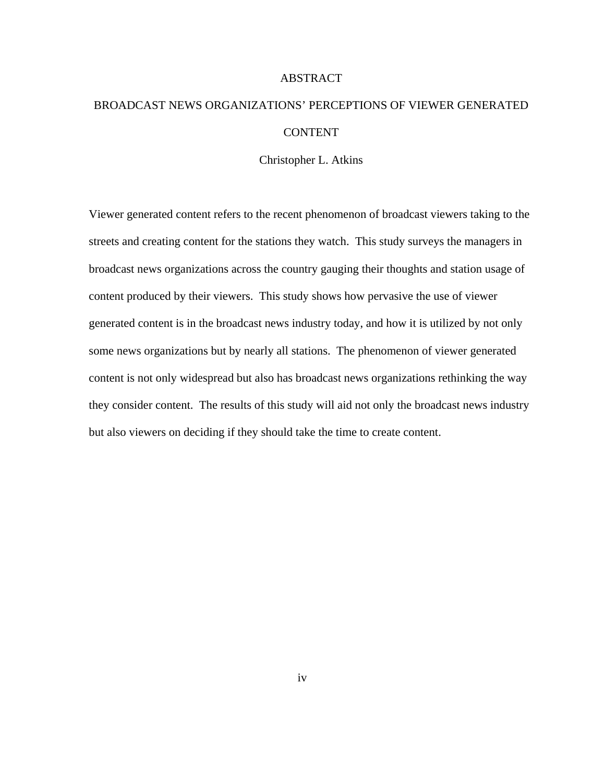#### ABSTRACT

## BROADCAST NEWS ORGANIZATIONS' PERCEPTIONS OF VIEWER GENERATED **CONTENT**

Christopher L. Atkins

Viewer generated content refers to the recent phenomenon of broadcast viewers taking to the streets and creating content for the stations they watch. This study surveys the managers in broadcast news organizations across the country gauging their thoughts and station usage of content produced by their viewers. This study shows how pervasive the use of viewer generated content is in the broadcast news industry today, and how it is utilized by not only some news organizations but by nearly all stations. The phenomenon of viewer generated content is not only widespread but also has broadcast news organizations rethinking the way they consider content. The results of this study will aid not only the broadcast news industry but also viewers on deciding if they should take the time to create content.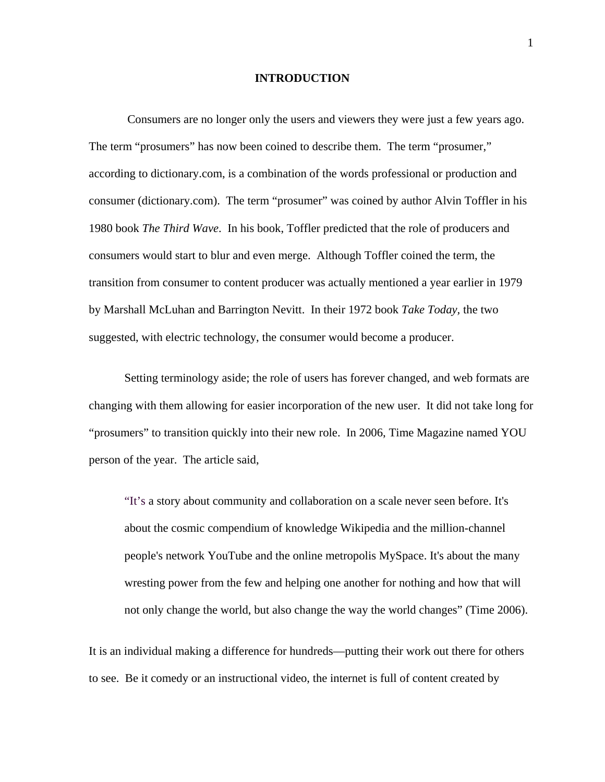#### **INTRODUCTION**

 Consumers are no longer only the users and viewers they were just a few years ago. The term "prosumers" has now been coined to describe them. The term "prosumer," according to dictionary.com, is a combination of the words professional or production and consumer (dictionary.com). The term "prosumer" was coined by author Alvin Toffler in his 1980 book *The Third Wave*. In his book, Toffler predicted that the role of producers and consumers would start to blur and even merge. Although Toffler coined the term, the transition from consumer to content producer was actually mentioned a year earlier in 1979 by Marshall McLuhan and Barrington Nevitt. In their 1972 book *Take Today,* the two suggested, with electric technology, the consumer would become a producer.

Setting terminology aside; the role of users has forever changed, and web formats are changing with them allowing for easier incorporation of the new user. It did not take long for "prosumers" to transition quickly into their new role. In 2006, Time Magazine named YOU person of the year. The article said,

"It's a story about community and collaboration on a scale never seen before. It's about the cosmic compendium of knowledge Wikipedia and the million-channel people's network YouTube and the online metropolis MySpace. It's about the many wresting power from the few and helping one another for nothing and how that will not only change the world, but also change the way the world changes" (Time 2006).

It is an individual making a difference for hundreds—putting their work out there for others to see. Be it comedy or an instructional video, the internet is full of content created by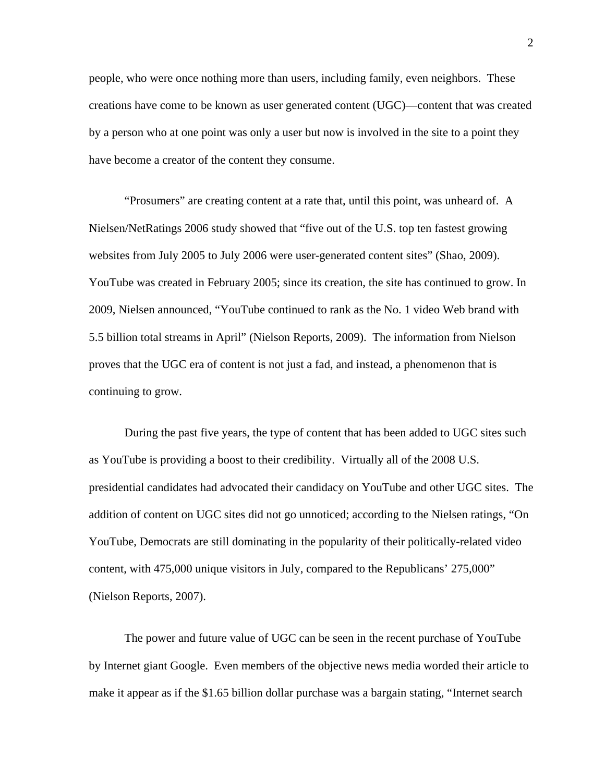people, who were once nothing more than users, including family, even neighbors. These creations have come to be known as user generated content (UGC)—content that was created by a person who at one point was only a user but now is involved in the site to a point they have become a creator of the content they consume.

 "Prosumers" are creating content at a rate that, until this point, was unheard of. A Nielsen/NetRatings 2006 study showed that "five out of the U.S. top ten fastest growing websites from July 2005 to July 2006 were user-generated content sites" (Shao, 2009). YouTube was created in February 2005; since its creation, the site has continued to grow. In 2009, Nielsen announced, "YouTube continued to rank as the No. 1 video Web brand with 5.5 billion total streams in April" (Nielson Reports, 2009). The information from Nielson proves that the UGC era of content is not just a fad, and instead, a phenomenon that is continuing to grow.

During the past five years, the type of content that has been added to UGC sites such as YouTube is providing a boost to their credibility. Virtually all of the 2008 U.S. presidential candidates had advocated their candidacy on YouTube and other UGC sites. The addition of content on UGC sites did not go unnoticed; according to the Nielsen ratings, "On YouTube, Democrats are still dominating in the popularity of their politically-related video content, with 475,000 unique visitors in July, compared to the Republicans' 275,000" (Nielson Reports, 2007).

The power and future value of UGC can be seen in the recent purchase of YouTube by Internet giant Google. Even members of the objective news media worded their article to make it appear as if the \$1.65 billion dollar purchase was a bargain stating, "Internet search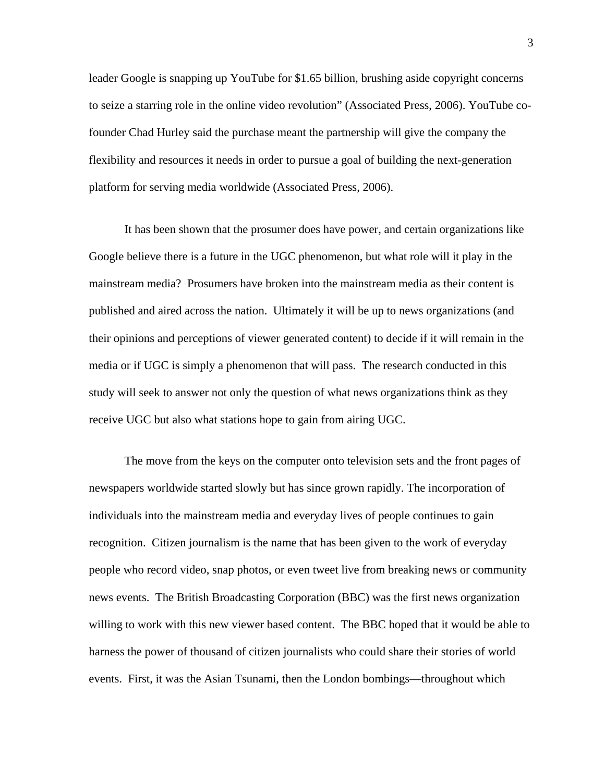leader Google is snapping up YouTube for \$1.65 billion, brushing aside copyright concerns to seize a starring role in the online video revolution" (Associated Press, 2006). YouTube cofounder Chad Hurley said the purchase meant the partnership will give the company the flexibility and resources it needs in order to pursue a goal of building the next-generation platform for serving media worldwide (Associated Press, 2006).

It has been shown that the prosumer does have power, and certain organizations like Google believe there is a future in the UGC phenomenon, but what role will it play in the mainstream media? Prosumers have broken into the mainstream media as their content is published and aired across the nation. Ultimately it will be up to news organizations (and their opinions and perceptions of viewer generated content) to decide if it will remain in the media or if UGC is simply a phenomenon that will pass. The research conducted in this study will seek to answer not only the question of what news organizations think as they receive UGC but also what stations hope to gain from airing UGC.

The move from the keys on the computer onto television sets and the front pages of newspapers worldwide started slowly but has since grown rapidly. The incorporation of individuals into the mainstream media and everyday lives of people continues to gain recognition. Citizen journalism is the name that has been given to the work of everyday people who record video, snap photos, or even tweet live from breaking news or community news events. The British Broadcasting Corporation (BBC) was the first news organization willing to work with this new viewer based content. The BBC hoped that it would be able to harness the power of thousand of citizen journalists who could share their stories of world events. First, it was the Asian Tsunami, then the London bombings—throughout which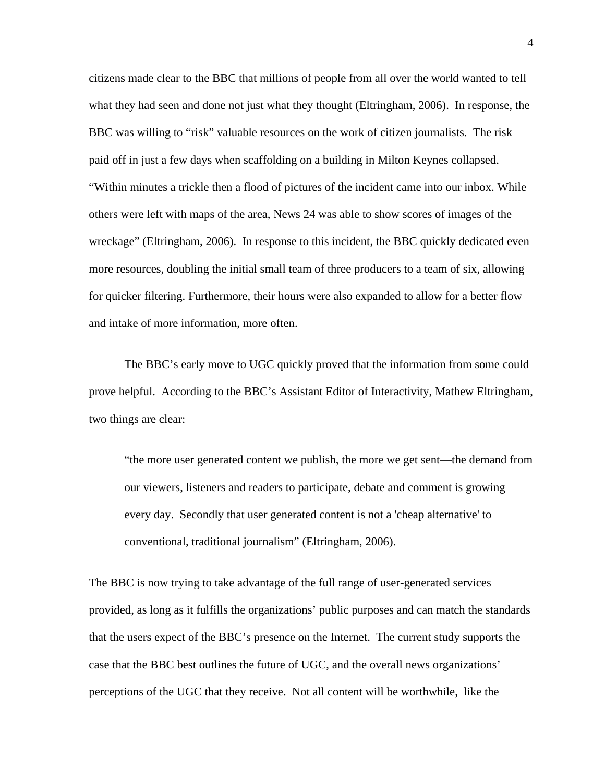citizens made clear to the BBC that millions of people from all over the world wanted to tell what they had seen and done not just what they thought (Eltringham, 2006). In response, the BBC was willing to "risk" valuable resources on the work of citizen journalists. The risk paid off in just a few days when scaffolding on a building in Milton Keynes collapsed. "Within minutes a trickle then a flood of pictures of the incident came into our inbox. While others were left with maps of the area, News 24 was able to show scores of images of the wreckage" (Eltringham, 2006). In response to this incident, the BBC quickly dedicated even more resources, doubling the initial small team of three producers to a team of six, allowing for quicker filtering. Furthermore, their hours were also expanded to allow for a better flow and intake of more information, more often.

The BBC's early move to UGC quickly proved that the information from some could prove helpful. According to the BBC's Assistant Editor of Interactivity, Mathew Eltringham, two things are clear:

"the more user generated content we publish, the more we get sent—the demand from our viewers, listeners and readers to participate, debate and comment is growing every day. Secondly that user generated content is not a 'cheap alternative' to conventional, traditional journalism" (Eltringham, 2006).

The BBC is now trying to take advantage of the full range of user-generated services provided, as long as it fulfills the organizations' public purposes and can match the standards that the users expect of the BBC's presence on the Internet. The current study supports the case that the BBC best outlines the future of UGC, and the overall news organizations' perceptions of the UGC that they receive. Not all content will be worthwhile, like the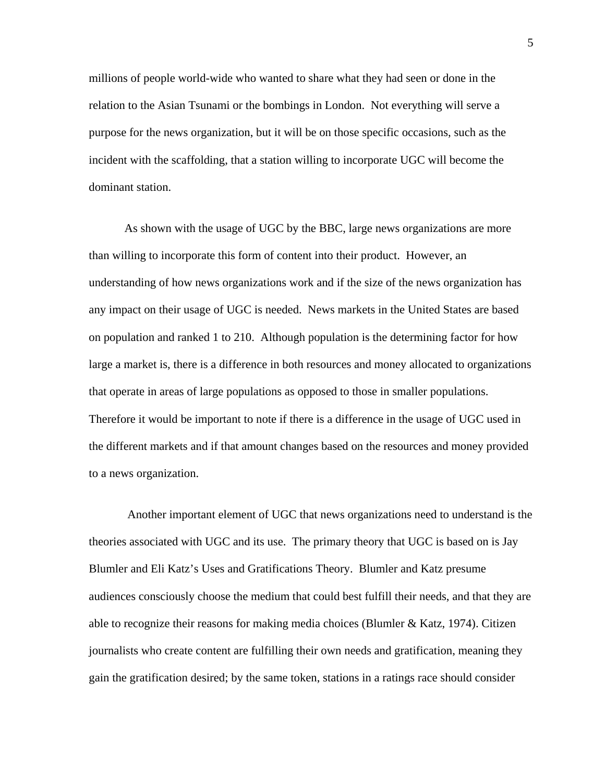millions of people world-wide who wanted to share what they had seen or done in the relation to the Asian Tsunami or the bombings in London. Not everything will serve a purpose for the news organization, but it will be on those specific occasions, such as the incident with the scaffolding, that a station willing to incorporate UGC will become the dominant station.

 As shown with the usage of UGC by the BBC, large news organizations are more than willing to incorporate this form of content into their product. However, an understanding of how news organizations work and if the size of the news organization has any impact on their usage of UGC is needed. News markets in the United States are based on population and ranked 1 to 210. Although population is the determining factor for how large a market is, there is a difference in both resources and money allocated to organizations that operate in areas of large populations as opposed to those in smaller populations. Therefore it would be important to note if there is a difference in the usage of UGC used in the different markets and if that amount changes based on the resources and money provided to a news organization.

 Another important element of UGC that news organizations need to understand is the theories associated with UGC and its use. The primary theory that UGC is based on is Jay Blumler and Eli Katz's Uses and Gratifications Theory. Blumler and Katz presume audiences consciously choose the medium that could best fulfill their needs, and that they are able to recognize their reasons for making media choices (Blumler & Katz, 1974). Citizen journalists who create content are fulfilling their own needs and gratification, meaning they gain the gratification desired; by the same token, stations in a ratings race should consider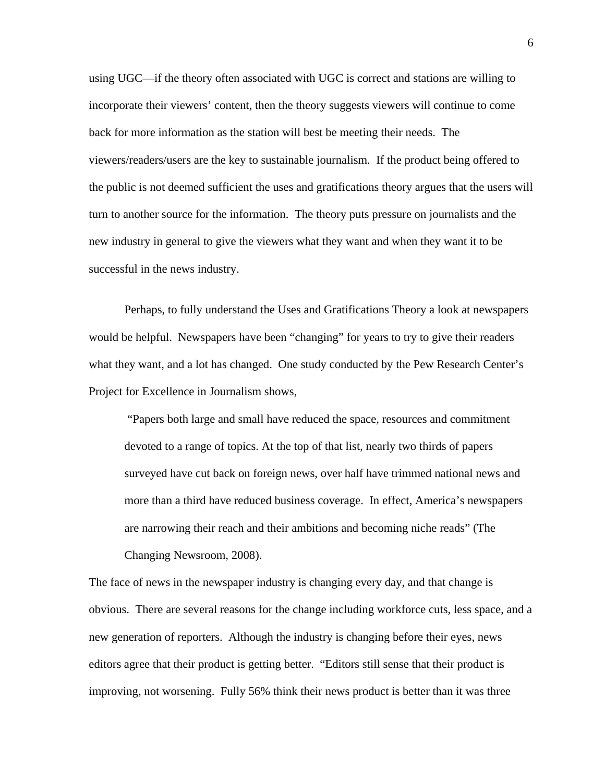using UGC—if the theory often associated with UGC is correct and stations are willing to incorporate their viewers' content, then the theory suggests viewers will continue to come back for more information as the station will best be meeting their needs. The viewers/readers/users are the key to sustainable journalism. If the product being offered to the public is not deemed sufficient the uses and gratifications theory argues that the users will turn to another source for the information. The theory puts pressure on journalists and the new industry in general to give the viewers what they want and when they want it to be successful in the news industry.

 Perhaps, to fully understand the Uses and Gratifications Theory a look at newspapers would be helpful. Newspapers have been "changing" for years to try to give their readers what they want, and a lot has changed. One study conducted by the Pew Research Center's Project for Excellence in Journalism shows,

"Papers both large and small have reduced the space, resources and commitment devoted to a range of topics. At the top of that list, nearly two thirds of papers surveyed have cut back on foreign news, over half have trimmed national news and more than a third have reduced business coverage. In effect, America's newspapers are narrowing their reach and their ambitions and becoming niche reads" (The Changing Newsroom, 2008).

The face of news in the newspaper industry is changing every day, and that change is obvious. There are several reasons for the change including workforce cuts, less space, and a new generation of reporters. Although the industry is changing before their eyes, news editors agree that their product is getting better. "Editors still sense that their product is improving, not worsening. Fully 56% think their news product is better than it was three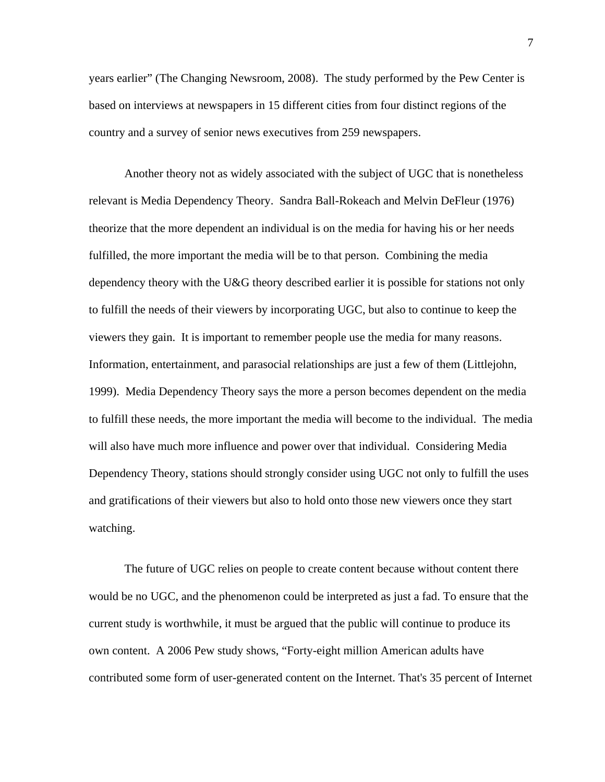years earlier" (The Changing Newsroom, 2008). The study performed by the Pew Center is based on interviews at newspapers in 15 different cities from four distinct regions of the country and a survey of senior news executives from 259 newspapers.

 Another theory not as widely associated with the subject of UGC that is nonetheless relevant is Media Dependency Theory. Sandra Ball-Rokeach and Melvin DeFleur (1976) theorize that the more dependent an individual is on the media for having his or her needs fulfilled, the more important the media will be to that person. Combining the media dependency theory with the U&G theory described earlier it is possible for stations not only to fulfill the needs of their viewers by incorporating UGC, but also to continue to keep the viewers they gain. It is important to remember people use the media for many reasons. Information, entertainment, and parasocial relationships are just a few of them (Littlejohn, 1999). Media Dependency Theory says the more a person becomes dependent on the media to fulfill these needs, the more important the media will become to the individual. The media will also have much more influence and power over that individual. Considering Media Dependency Theory, stations should strongly consider using UGC not only to fulfill the uses and gratifications of their viewers but also to hold onto those new viewers once they start watching.

The future of UGC relies on people to create content because without content there would be no UGC, and the phenomenon could be interpreted as just a fad. To ensure that the current study is worthwhile, it must be argued that the public will continue to produce its own content. A 2006 Pew study shows, "Forty-eight million American adults have contributed some form of user-generated content on the Internet. That's 35 percent of Internet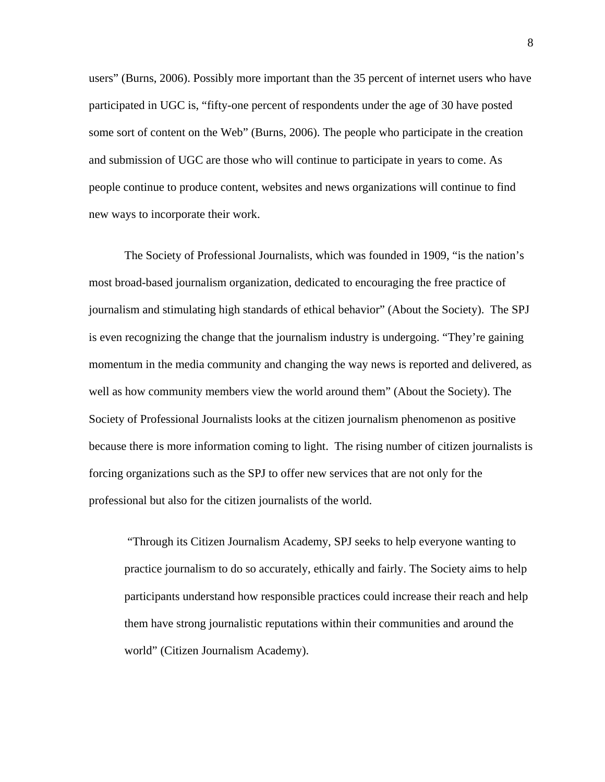users" (Burns, 2006). Possibly more important than the 35 percent of internet users who have participated in UGC is, "fifty-one percent of respondents under the age of 30 have posted some sort of content on the Web" (Burns, 2006). The people who participate in the creation and submission of UGC are those who will continue to participate in years to come. As people continue to produce content, websites and news organizations will continue to find new ways to incorporate their work.

The Society of Professional Journalists, which was founded in 1909, "is the nation's most broad-based journalism organization, dedicated to encouraging the free practice of journalism and stimulating high standards of ethical behavior" (About the Society). The SPJ is even recognizing the change that the journalism industry is undergoing. "They're gaining momentum in the media community and changing the way news is reported and delivered, as well as how community members view the world around them" (About the Society). The Society of Professional Journalists looks at the citizen journalism phenomenon as positive because there is more information coming to light. The rising number of citizen journalists is forcing organizations such as the SPJ to offer new services that are not only for the professional but also for the citizen journalists of the world.

"Through its Citizen Journalism Academy, SPJ seeks to help everyone wanting to practice journalism to do so accurately, ethically and fairly. The Society aims to help participants understand how responsible practices could increase their reach and help them have strong journalistic reputations within their communities and around the world" (Citizen Journalism Academy).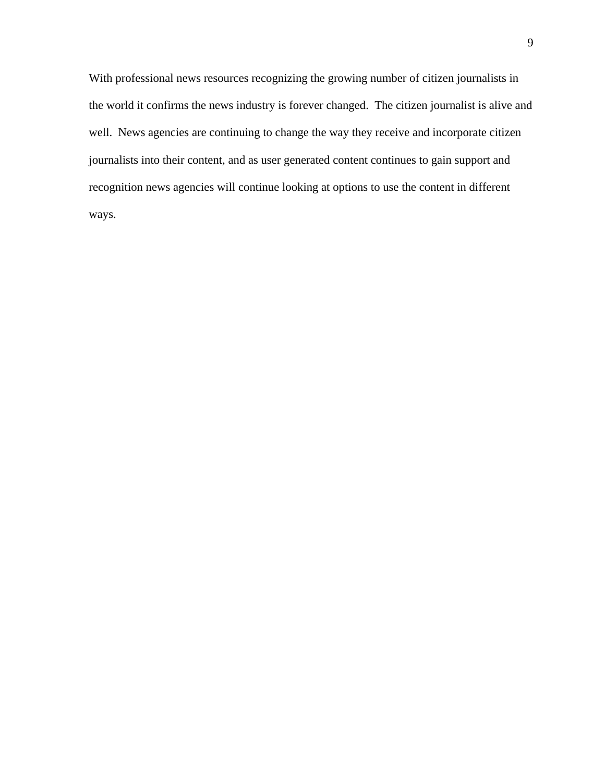With professional news resources recognizing the growing number of citizen journalists in the world it confirms the news industry is forever changed. The citizen journalist is alive and well. News agencies are continuing to change the way they receive and incorporate citizen journalists into their content, and as user generated content continues to gain support and recognition news agencies will continue looking at options to use the content in different ways.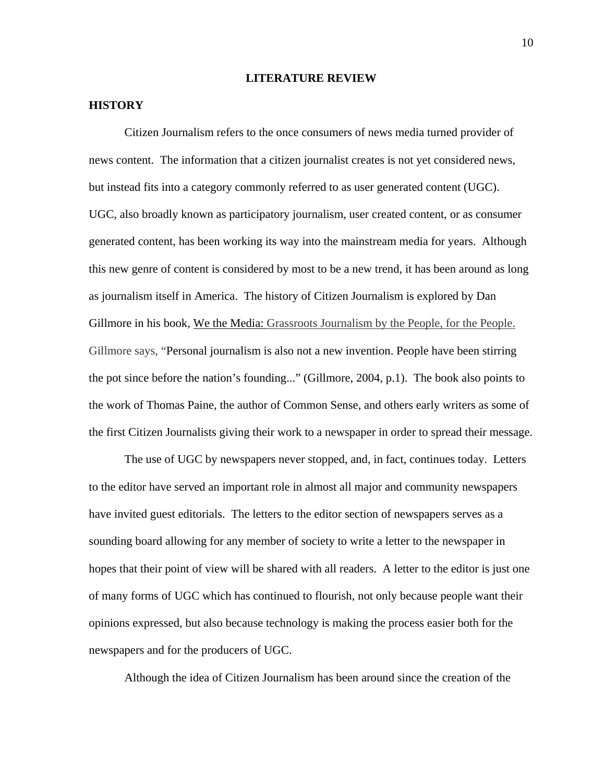#### **LITERATURE REVIEW**

#### **HISTORY**

 Citizen Journalism refers to the once consumers of news media turned provider of news content. The information that a citizen journalist creates is not yet considered news, but instead fits into a category commonly referred to as user generated content (UGC). UGC, also broadly known as participatory journalism, user created content, or as consumer generated content, has been working its way into the mainstream media for years. Although this new genre of content is considered by most to be a new trend, it has been around as long as journalism itself in America. The history of Citizen Journalism is explored by Dan Gillmore in his book, We the Media: Grassroots Journalism by the People, for the People. Gillmore says, "Personal journalism is also not a new invention. People have been stirring the pot since before the nation's founding..." (Gillmore, 2004, p.1). The book also points to the work of Thomas Paine, the author of Common Sense, and others early writers as some of the first Citizen Journalists giving their work to a newspaper in order to spread their message.

The use of UGC by newspapers never stopped, and, in fact, continues today. Letters to the editor have served an important role in almost all major and community newspapers have invited guest editorials. The letters to the editor section of newspapers serves as a sounding board allowing for any member of society to write a letter to the newspaper in hopes that their point of view will be shared with all readers. A letter to the editor is just one of many forms of UGC which has continued to flourish, not only because people want their opinions expressed, but also because technology is making the process easier both for the newspapers and for the producers of UGC.

Although the idea of Citizen Journalism has been around since the creation of the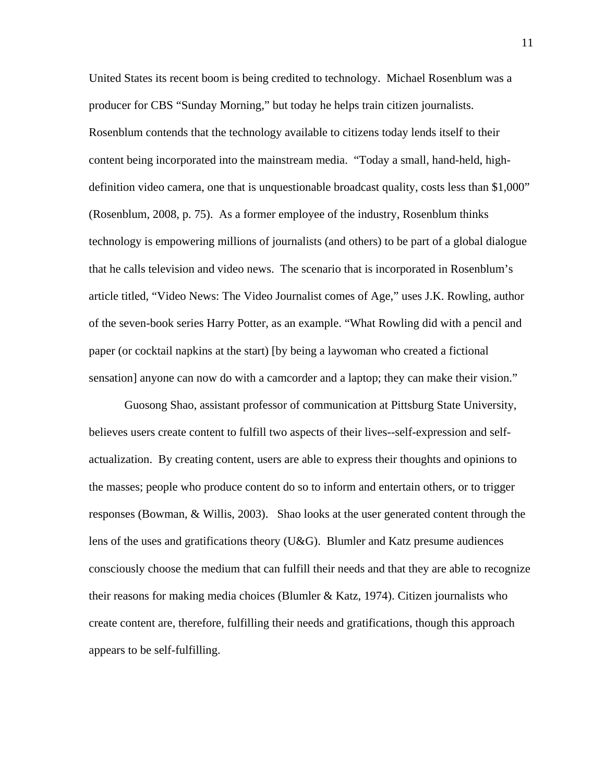United States its recent boom is being credited to technology. Michael Rosenblum was a producer for CBS "Sunday Morning," but today he helps train citizen journalists. Rosenblum contends that the technology available to citizens today lends itself to their content being incorporated into the mainstream media. "Today a small, hand-held, highdefinition video camera, one that is unquestionable broadcast quality, costs less than \$1,000" (Rosenblum, 2008, p. 75). As a former employee of the industry, Rosenblum thinks technology is empowering millions of journalists (and others) to be part of a global dialogue that he calls television and video news. The scenario that is incorporated in Rosenblum's article titled, "Video News: The Video Journalist comes of Age," uses J.K. Rowling, author of the seven-book series Harry Potter, as an example. "What Rowling did with a pencil and paper (or cocktail napkins at the start) [by being a laywoman who created a fictional sensation] anyone can now do with a camcorder and a laptop; they can make their vision."

Guosong Shao, assistant professor of communication at Pittsburg State University, believes users create content to fulfill two aspects of their lives--self-expression and selfactualization. By creating content, users are able to express their thoughts and opinions to the masses; people who produce content do so to inform and entertain others, or to trigger responses (Bowman, & Willis, 2003). Shao looks at the user generated content through the lens of the uses and gratifications theory  $(U&G)$ . Blumler and Katz presume audiences consciously choose the medium that can fulfill their needs and that they are able to recognize their reasons for making media choices (Blumler & Katz, 1974). Citizen journalists who create content are, therefore, fulfilling their needs and gratifications, though this approach appears to be self-fulfilling.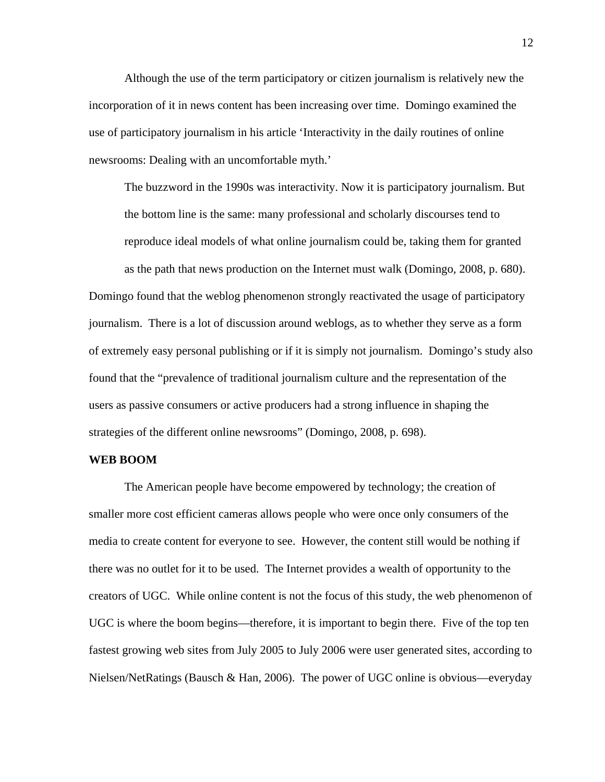Although the use of the term participatory or citizen journalism is relatively new the incorporation of it in news content has been increasing over time. Domingo examined the use of participatory journalism in his article 'Interactivity in the daily routines of online newsrooms: Dealing with an uncomfortable myth.'

The buzzword in the 1990s was interactivity. Now it is participatory journalism. But the bottom line is the same: many professional and scholarly discourses tend to reproduce ideal models of what online journalism could be, taking them for granted as the path that news production on the Internet must walk (Domingo, 2008, p. 680).

Domingo found that the weblog phenomenon strongly reactivated the usage of participatory journalism. There is a lot of discussion around weblogs, as to whether they serve as a form of extremely easy personal publishing or if it is simply not journalism. Domingo's study also found that the "prevalence of traditional journalism culture and the representation of the users as passive consumers or active producers had a strong influence in shaping the strategies of the different online newsrooms" (Domingo, 2008, p. 698).

#### **WEB BOOM**

The American people have become empowered by technology; the creation of smaller more cost efficient cameras allows people who were once only consumers of the media to create content for everyone to see. However, the content still would be nothing if there was no outlet for it to be used. The Internet provides a wealth of opportunity to the creators of UGC. While online content is not the focus of this study, the web phenomenon of UGC is where the boom begins—therefore, it is important to begin there. Five of the top ten fastest growing web sites from July 2005 to July 2006 were user generated sites, according to Nielsen/NetRatings (Bausch & Han, 2006). The power of UGC online is obvious—everyday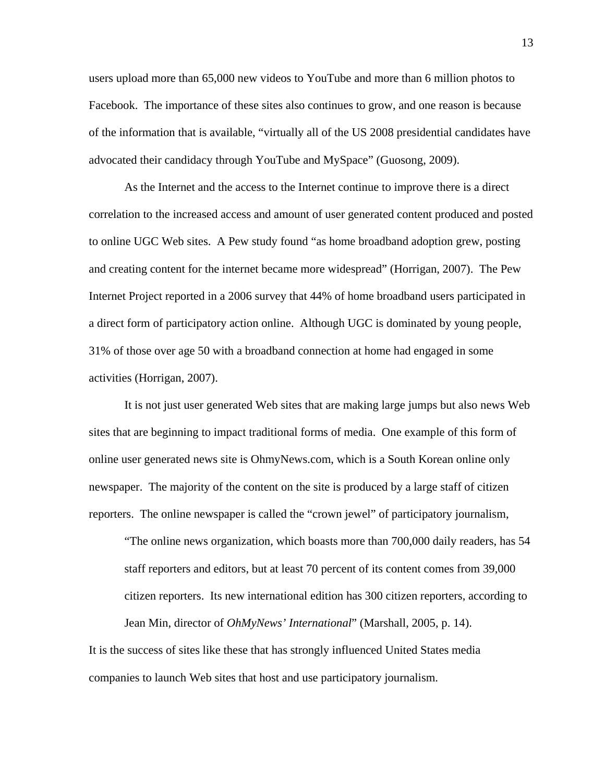users upload more than 65,000 new videos to YouTube and more than 6 million photos to Facebook. The importance of these sites also continues to grow, and one reason is because of the information that is available, "virtually all of the US 2008 presidential candidates have advocated their candidacy through YouTube and MySpace" (Guosong, 2009).

As the Internet and the access to the Internet continue to improve there is a direct correlation to the increased access and amount of user generated content produced and posted to online UGC Web sites. A Pew study found "as home broadband adoption grew, posting and creating content for the internet became more widespread" (Horrigan, 2007). The Pew Internet Project reported in a 2006 survey that 44% of home broadband users participated in a direct form of participatory action online. Although UGC is dominated by young people, 31% of those over age 50 with a broadband connection at home had engaged in some activities (Horrigan, 2007).

It is not just user generated Web sites that are making large jumps but also news Web sites that are beginning to impact traditional forms of media. One example of this form of online user generated news site is OhmyNews.com, which is a South Korean online only newspaper. The majority of the content on the site is produced by a large staff of citizen reporters. The online newspaper is called the "crown jewel" of participatory journalism,

"The online news organization, which boasts more than 700,000 daily readers, has 54 staff reporters and editors, but at least 70 percent of its content comes from 39,000 citizen reporters. Its new international edition has 300 citizen reporters, according to

Jean Min, director of *OhMyNews' International*" (Marshall, 2005, p. 14). It is the success of sites like these that has strongly influenced United States media companies to launch Web sites that host and use participatory journalism.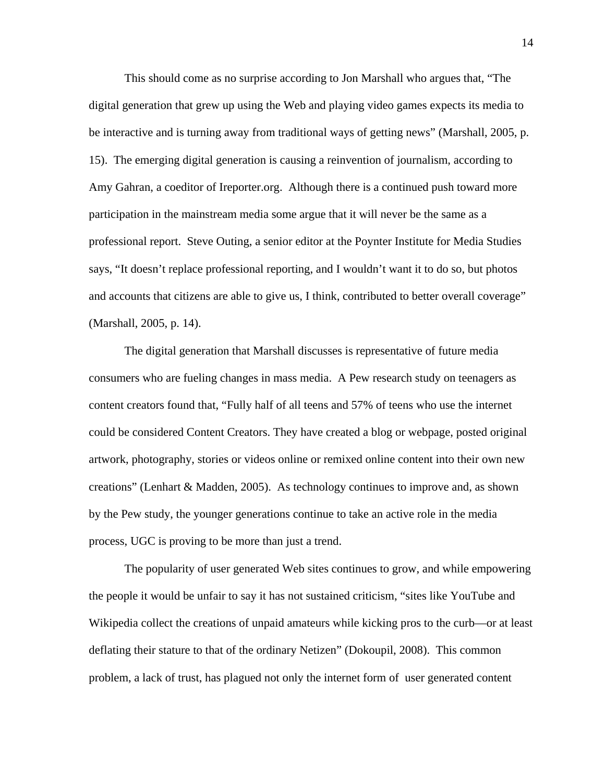This should come as no surprise according to Jon Marshall who argues that, "The digital generation that grew up using the Web and playing video games expects its media to be interactive and is turning away from traditional ways of getting news" (Marshall, 2005, p. 15). The emerging digital generation is causing a reinvention of journalism, according to Amy Gahran, a coeditor of Ireporter.org. Although there is a continued push toward more participation in the mainstream media some argue that it will never be the same as a professional report. Steve Outing, a senior editor at the Poynter Institute for Media Studies says, "It doesn't replace professional reporting, and I wouldn't want it to do so, but photos and accounts that citizens are able to give us, I think, contributed to better overall coverage" (Marshall, 2005, p. 14).

The digital generation that Marshall discusses is representative of future media consumers who are fueling changes in mass media. A Pew research study on teenagers as content creators found that, "Fully half of all teens and 57% of teens who use the internet could be considered Content Creators. They have created a blog or webpage, posted original artwork, photography, stories or videos online or remixed online content into their own new creations" (Lenhart & Madden, 2005). As technology continues to improve and, as shown by the Pew study, the younger generations continue to take an active role in the media process, UGC is proving to be more than just a trend.

The popularity of user generated Web sites continues to grow, and while empowering the people it would be unfair to say it has not sustained criticism, "sites like YouTube and Wikipedia collect the creations of unpaid amateurs while kicking pros to the curb—or at least deflating their stature to that of the ordinary Netizen" (Dokoupil, 2008). This common problem, a lack of trust, has plagued not only the internet form of user generated content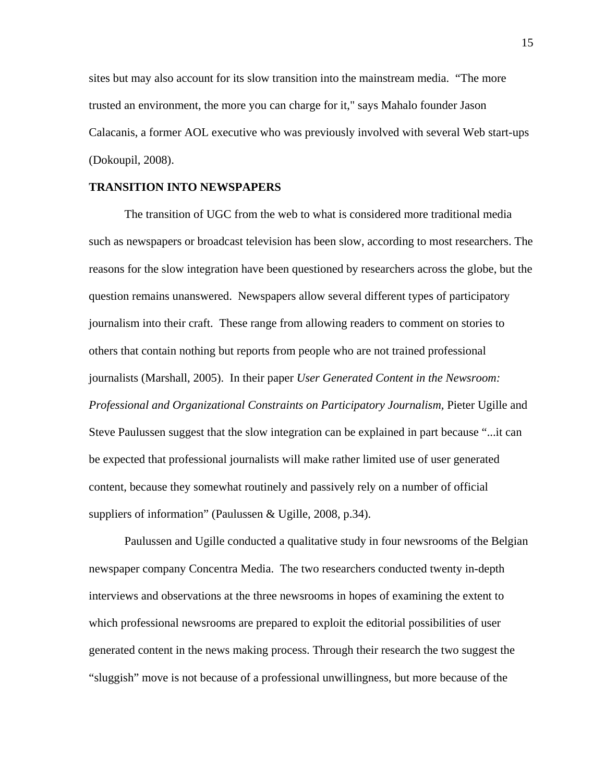sites but may also account for its slow transition into the mainstream media. "The more trusted an environment, the more you can charge for it," says Mahalo founder Jason Calacanis, a former AOL executive who was previously involved with several Web start-ups (Dokoupil, 2008).

#### **TRANSITION INTO NEWSPAPERS**

The transition of UGC from the web to what is considered more traditional media such as newspapers or broadcast television has been slow, according to most researchers. The reasons for the slow integration have been questioned by researchers across the globe, but the question remains unanswered. Newspapers allow several different types of participatory journalism into their craft. These range from allowing readers to comment on stories to others that contain nothing but reports from people who are not trained professional journalists (Marshall, 2005). In their paper *User Generated Content in the Newsroom: Professional and Organizational Constraints on Participatory Journalism,* Pieter Ugille and Steve Paulussen suggest that the slow integration can be explained in part because "...it can be expected that professional journalists will make rather limited use of user generated content, because they somewhat routinely and passively rely on a number of official suppliers of information" (Paulussen & Ugille, 2008, p.34).

Paulussen and Ugille conducted a qualitative study in four newsrooms of the Belgian newspaper company Concentra Media. The two researchers conducted twenty in-depth interviews and observations at the three newsrooms in hopes of examining the extent to which professional newsrooms are prepared to exploit the editorial possibilities of user generated content in the news making process. Through their research the two suggest the "sluggish" move is not because of a professional unwillingness, but more because of the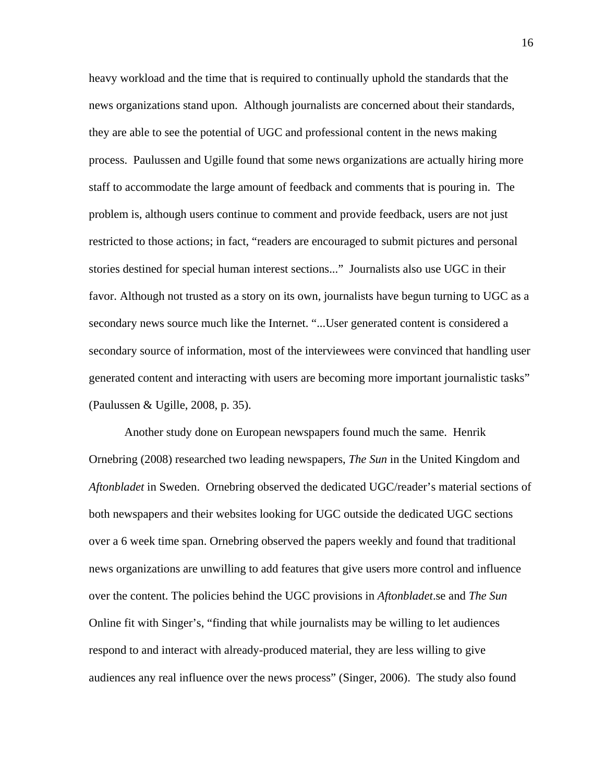heavy workload and the time that is required to continually uphold the standards that the news organizations stand upon. Although journalists are concerned about their standards, they are able to see the potential of UGC and professional content in the news making process. Paulussen and Ugille found that some news organizations are actually hiring more staff to accommodate the large amount of feedback and comments that is pouring in. The problem is, although users continue to comment and provide feedback, users are not just restricted to those actions; in fact, "readers are encouraged to submit pictures and personal stories destined for special human interest sections..." Journalists also use UGC in their favor. Although not trusted as a story on its own, journalists have begun turning to UGC as a secondary news source much like the Internet. "...User generated content is considered a secondary source of information, most of the interviewees were convinced that handling user generated content and interacting with users are becoming more important journalistic tasks" (Paulussen & Ugille, 2008, p. 35).

Another study done on European newspapers found much the same. Henrik Ornebring (2008) researched two leading newspapers, *The Sun* in the United Kingdom and *Aftonbladet* in Sweden. Ornebring observed the dedicated UGC/reader's material sections of both newspapers and their websites looking for UGC outside the dedicated UGC sections over a 6 week time span. Ornebring observed the papers weekly and found that traditional news organizations are unwilling to add features that give users more control and influence over the content. The policies behind the UGC provisions in *Aftonbladet*.se and *The Sun* Online fit with Singer's, "finding that while journalists may be willing to let audiences respond to and interact with already-produced material, they are less willing to give audiences any real influence over the news process" (Singer, 2006). The study also found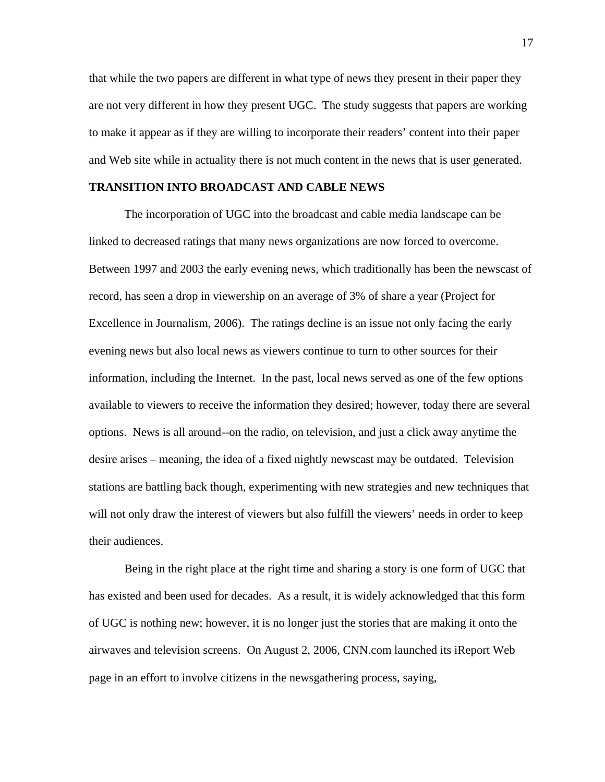that while the two papers are different in what type of news they present in their paper they are not very different in how they present UGC. The study suggests that papers are working to make it appear as if they are willing to incorporate their readers' content into their paper and Web site while in actuality there is not much content in the news that is user generated.

#### **TRANSITION INTO BROADCAST AND CABLE NEWS**

The incorporation of UGC into the broadcast and cable media landscape can be linked to decreased ratings that many news organizations are now forced to overcome. Between 1997 and 2003 the early evening news, which traditionally has been the newscast of record, has seen a drop in viewership on an average of 3% of share a year (Project for Excellence in Journalism, 2006). The ratings decline is an issue not only facing the early evening news but also local news as viewers continue to turn to other sources for their information, including the Internet. In the past, local news served as one of the few options available to viewers to receive the information they desired; however, today there are several options. News is all around--on the radio, on television, and just a click away anytime the desire arises – meaning, the idea of a fixed nightly newscast may be outdated. Television stations are battling back though, experimenting with new strategies and new techniques that will not only draw the interest of viewers but also fulfill the viewers' needs in order to keep their audiences.

Being in the right place at the right time and sharing a story is one form of UGC that has existed and been used for decades. As a result, it is widely acknowledged that this form of UGC is nothing new; however, it is no longer just the stories that are making it onto the airwaves and television screens. On August 2, 2006, CNN.com launched its iReport Web page in an effort to involve citizens in the newsgathering process, saying,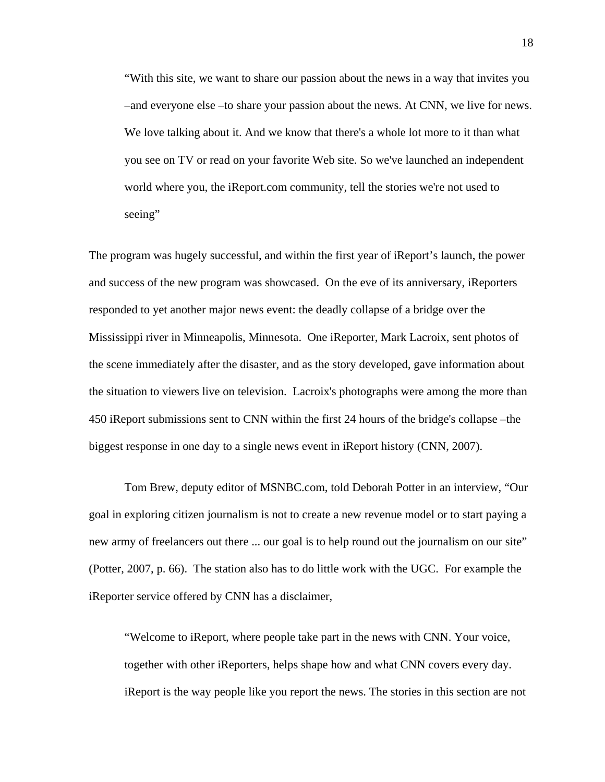"With this site, we want to share our passion about the news in a way that invites you –and everyone else –to share your passion about the news. At CNN, we live for news. We love talking about it. And we know that there's a whole lot more to it than what you see on TV or read on your favorite Web site. So we've launched an independent world where you, the iReport.com community, tell the stories we're not used to seeing"

The program was hugely successful, and within the first year of iReport's launch, the power and success of the new program was showcased. On the eve of its anniversary, iReporters responded to yet another major news event: the deadly collapse of a bridge over the Mississippi river in Minneapolis, Minnesota. One iReporter, Mark Lacroix, sent photos of the scene immediately after the disaster, and as the story developed, gave information about the situation to viewers live on television. Lacroix's photographs were among the more than 450 iReport submissions sent to CNN within the first 24 hours of the bridge's collapse –the biggest response in one day to a single news event in iReport history (CNN, 2007).

Tom Brew, deputy editor of MSNBC.com, told Deborah Potter in an interview, "Our goal in exploring citizen journalism is not to create a new revenue model or to start paying a new army of freelancers out there ... our goal is to help round out the journalism on our site" (Potter, 2007, p. 66). The station also has to do little work with the UGC. For example the iReporter service offered by CNN has a disclaimer,

"Welcome to iReport, where people take part in the news with CNN. Your voice, together with other iReporters, helps shape how and what CNN covers every day. iReport is the way people like you report the news. The stories in this section are not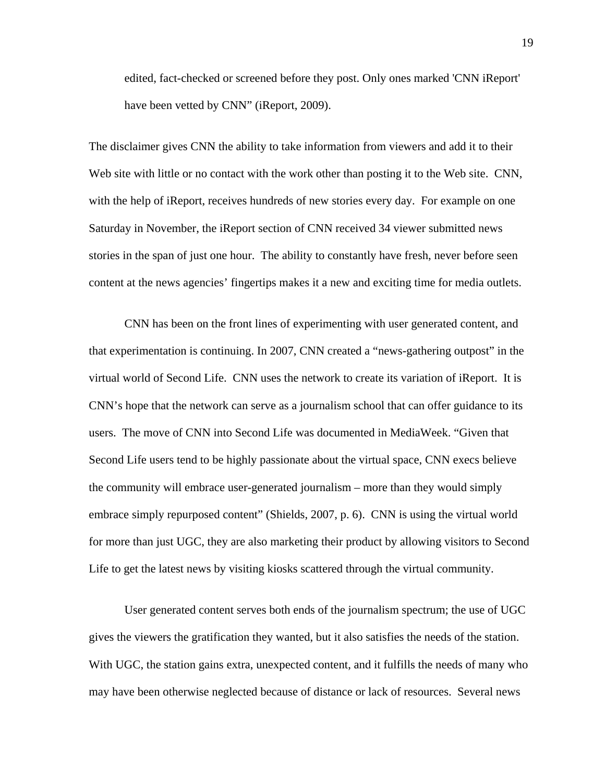edited, fact-checked or screened before they post. Only ones marked 'CNN iReport' have been vetted by CNN" (iReport, 2009).

The disclaimer gives CNN the ability to take information from viewers and add it to their Web site with little or no contact with the work other than posting it to the Web site. CNN, with the help of iReport, receives hundreds of new stories every day. For example on one Saturday in November, the iReport section of CNN received 34 viewer submitted news stories in the span of just one hour. The ability to constantly have fresh, never before seen content at the news agencies' fingertips makes it a new and exciting time for media outlets.

 CNN has been on the front lines of experimenting with user generated content, and that experimentation is continuing. In 2007, CNN created a "news-gathering outpost" in the virtual world of Second Life. CNN uses the network to create its variation of iReport. It is CNN's hope that the network can serve as a journalism school that can offer guidance to its users. The move of CNN into Second Life was documented in MediaWeek. "Given that Second Life users tend to be highly passionate about the virtual space, CNN execs believe the community will embrace user-generated journalism – more than they would simply embrace simply repurposed content" (Shields, 2007, p. 6). CNN is using the virtual world for more than just UGC, they are also marketing their product by allowing visitors to Second Life to get the latest news by visiting kiosks scattered through the virtual community.

User generated content serves both ends of the journalism spectrum; the use of UGC gives the viewers the gratification they wanted, but it also satisfies the needs of the station. With UGC, the station gains extra, unexpected content, and it fulfills the needs of many who may have been otherwise neglected because of distance or lack of resources. Several news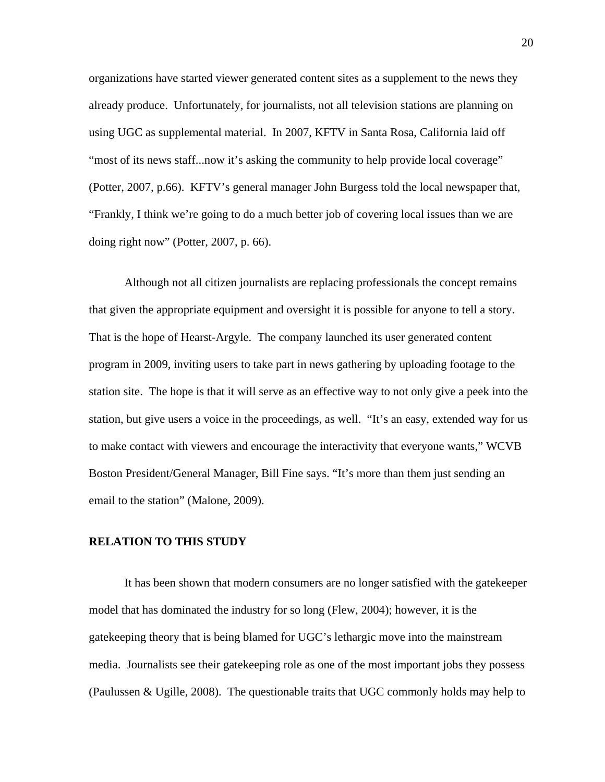organizations have started viewer generated content sites as a supplement to the news they already produce. Unfortunately, for journalists, not all television stations are planning on using UGC as supplemental material. In 2007, KFTV in Santa Rosa, California laid off "most of its news staff...now it's asking the community to help provide local coverage" (Potter, 2007, p.66). KFTV's general manager John Burgess told the local newspaper that, "Frankly, I think we're going to do a much better job of covering local issues than we are doing right now" (Potter, 2007, p. 66).

Although not all citizen journalists are replacing professionals the concept remains that given the appropriate equipment and oversight it is possible for anyone to tell a story. That is the hope of Hearst-Argyle. The company launched its user generated content program in 2009, inviting users to take part in news gathering by uploading footage to the station site. The hope is that it will serve as an effective way to not only give a peek into the station, but give users a voice in the proceedings, as well. "It's an easy, extended way for us to make contact with viewers and encourage the interactivity that everyone wants," WCVB Boston President/General Manager, Bill Fine says. "It's more than them just sending an email to the station" (Malone, 2009).

#### **RELATION TO THIS STUDY**

It has been shown that modern consumers are no longer satisfied with the gatekeeper model that has dominated the industry for so long (Flew, 2004); however, it is the gatekeeping theory that is being blamed for UGC's lethargic move into the mainstream media. Journalists see their gatekeeping role as one of the most important jobs they possess (Paulussen & Ugille, 2008). The questionable traits that UGC commonly holds may help to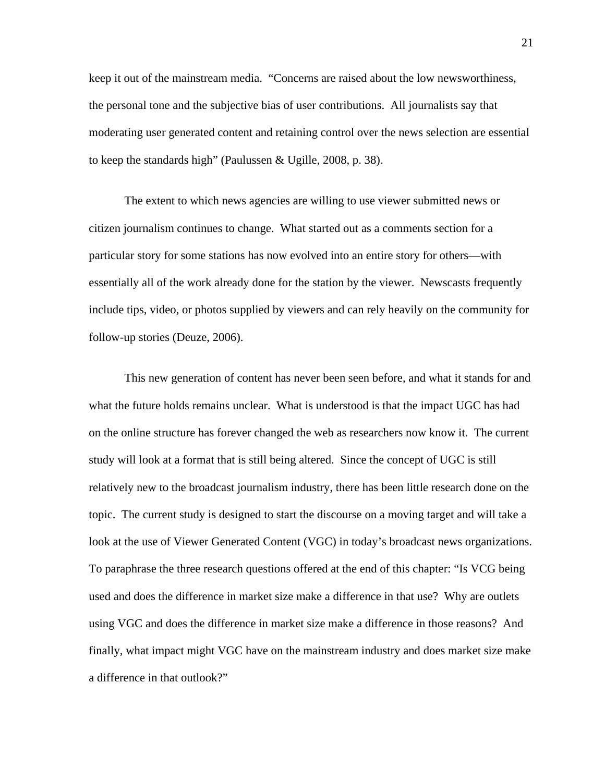keep it out of the mainstream media. "Concerns are raised about the low newsworthiness, the personal tone and the subjective bias of user contributions. All journalists say that moderating user generated content and retaining control over the news selection are essential to keep the standards high" (Paulussen & Ugille, 2008, p. 38).

The extent to which news agencies are willing to use viewer submitted news or citizen journalism continues to change. What started out as a comments section for a particular story for some stations has now evolved into an entire story for others—with essentially all of the work already done for the station by the viewer. Newscasts frequently include tips, video, or photos supplied by viewers and can rely heavily on the community for follow-up stories (Deuze, 2006).

This new generation of content has never been seen before, and what it stands for and what the future holds remains unclear. What is understood is that the impact UGC has had on the online structure has forever changed the web as researchers now know it. The current study will look at a format that is still being altered. Since the concept of UGC is still relatively new to the broadcast journalism industry, there has been little research done on the topic. The current study is designed to start the discourse on a moving target and will take a look at the use of Viewer Generated Content (VGC) in today's broadcast news organizations. To paraphrase the three research questions offered at the end of this chapter: "Is VCG being used and does the difference in market size make a difference in that use? Why are outlets using VGC and does the difference in market size make a difference in those reasons? And finally, what impact might VGC have on the mainstream industry and does market size make a difference in that outlook?"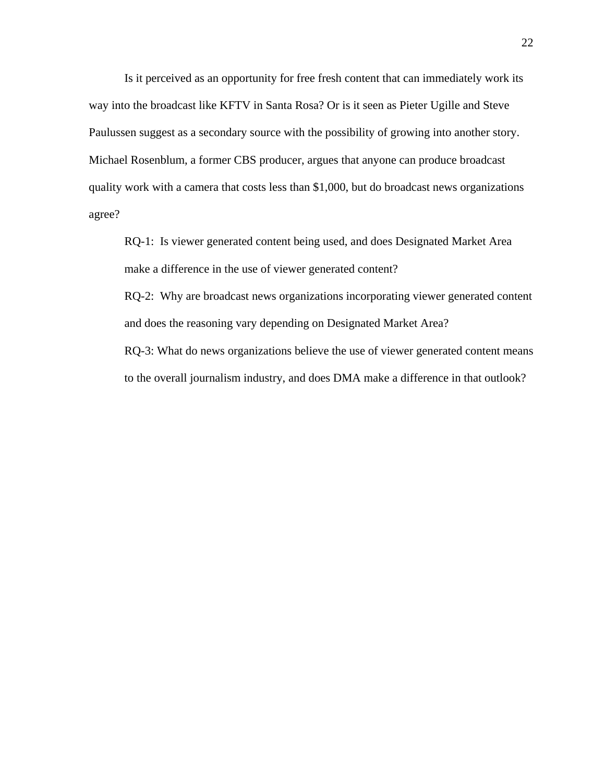Is it perceived as an opportunity for free fresh content that can immediately work its way into the broadcast like KFTV in Santa Rosa? Or is it seen as Pieter Ugille and Steve Paulussen suggest as a secondary source with the possibility of growing into another story. Michael Rosenblum, a former CBS producer, argues that anyone can produce broadcast quality work with a camera that costs less than \$1,000, but do broadcast news organizations agree?

RQ-1: Is viewer generated content being used, and does Designated Market Area make a difference in the use of viewer generated content?

RQ-2: Why are broadcast news organizations incorporating viewer generated content and does the reasoning vary depending on Designated Market Area?

RQ-3: What do news organizations believe the use of viewer generated content means to the overall journalism industry, and does DMA make a difference in that outlook?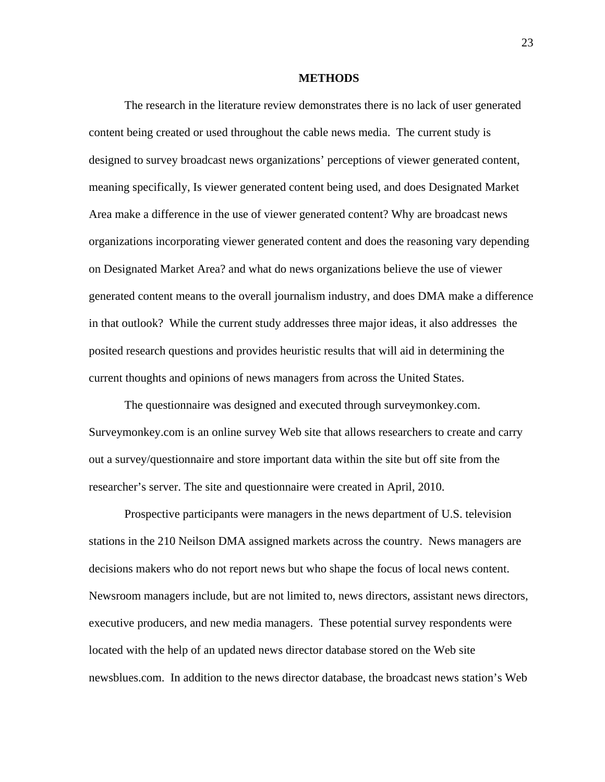#### **METHODS**

The research in the literature review demonstrates there is no lack of user generated content being created or used throughout the cable news media. The current study is designed to survey broadcast news organizations' perceptions of viewer generated content, meaning specifically, Is viewer generated content being used, and does Designated Market Area make a difference in the use of viewer generated content? Why are broadcast news organizations incorporating viewer generated content and does the reasoning vary depending on Designated Market Area? and what do news organizations believe the use of viewer generated content means to the overall journalism industry, and does DMA make a difference in that outlook? While the current study addresses three major ideas, it also addresses the posited research questions and provides heuristic results that will aid in determining the current thoughts and opinions of news managers from across the United States.

The questionnaire was designed and executed through surveymonkey.com. Surveymonkey.com is an online survey Web site that allows researchers to create and carry out a survey/questionnaire and store important data within the site but off site from the researcher's server. The site and questionnaire were created in April, 2010.

Prospective participants were managers in the news department of U.S. television stations in the 210 Neilson DMA assigned markets across the country. News managers are decisions makers who do not report news but who shape the focus of local news content. Newsroom managers include, but are not limited to, news directors, assistant news directors, executive producers, and new media managers. These potential survey respondents were located with the help of an updated news director database stored on the Web site newsblues.com. In addition to the news director database, the broadcast news station's Web

23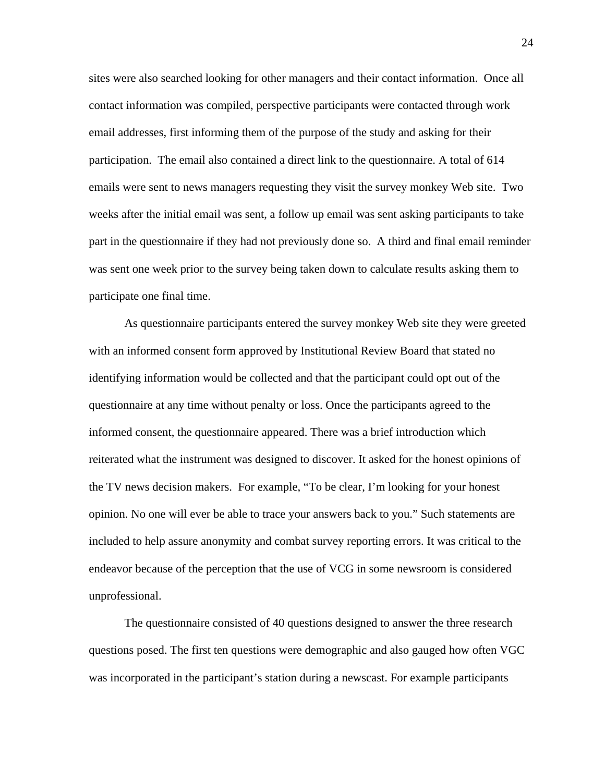sites were also searched looking for other managers and their contact information. Once all contact information was compiled, perspective participants were contacted through work email addresses, first informing them of the purpose of the study and asking for their participation. The email also contained a direct link to the questionnaire. A total of 614 emails were sent to news managers requesting they visit the survey monkey Web site. Two weeks after the initial email was sent, a follow up email was sent asking participants to take part in the questionnaire if they had not previously done so. A third and final email reminder was sent one week prior to the survey being taken down to calculate results asking them to participate one final time.

As questionnaire participants entered the survey monkey Web site they were greeted with an informed consent form approved by Institutional Review Board that stated no identifying information would be collected and that the participant could opt out of the questionnaire at any time without penalty or loss. Once the participants agreed to the informed consent, the questionnaire appeared. There was a brief introduction which reiterated what the instrument was designed to discover. It asked for the honest opinions of the TV news decision makers. For example, "To be clear, I'm looking for your honest opinion. No one will ever be able to trace your answers back to you." Such statements are included to help assure anonymity and combat survey reporting errors. It was critical to the endeavor because of the perception that the use of VCG in some newsroom is considered unprofessional.

The questionnaire consisted of 40 questions designed to answer the three research questions posed. The first ten questions were demographic and also gauged how often VGC was incorporated in the participant's station during a newscast. For example participants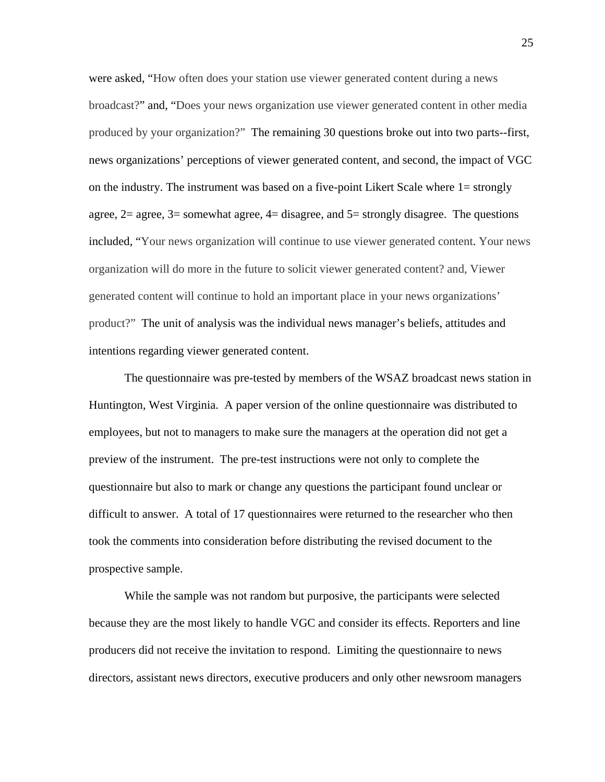were asked, "How often does your station use viewer generated content during a news broadcast?" and, "Does your news organization use viewer generated content in other media produced by your organization?" The remaining 30 questions broke out into two parts--first, news organizations' perceptions of viewer generated content, and second, the impact of VGC on the industry. The instrument was based on a five-point Likert Scale where 1= strongly agree, 2= agree, 3= somewhat agree, 4= disagree, and 5= strongly disagree. The questions included, "Your news organization will continue to use viewer generated content. Your news organization will do more in the future to solicit viewer generated content? and, Viewer generated content will continue to hold an important place in your news organizations' product?"The unit of analysis was the individual news manager's beliefs, attitudes and intentions regarding viewer generated content.

The questionnaire was pre-tested by members of the WSAZ broadcast news station in Huntington, West Virginia. A paper version of the online questionnaire was distributed to employees, but not to managers to make sure the managers at the operation did not get a preview of the instrument. The pre-test instructions were not only to complete the questionnaire but also to mark or change any questions the participant found unclear or difficult to answer. A total of 17 questionnaires were returned to the researcher who then took the comments into consideration before distributing the revised document to the prospective sample.

While the sample was not random but purposive, the participants were selected because they are the most likely to handle VGC and consider its effects. Reporters and line producers did not receive the invitation to respond. Limiting the questionnaire to news directors, assistant news directors, executive producers and only other newsroom managers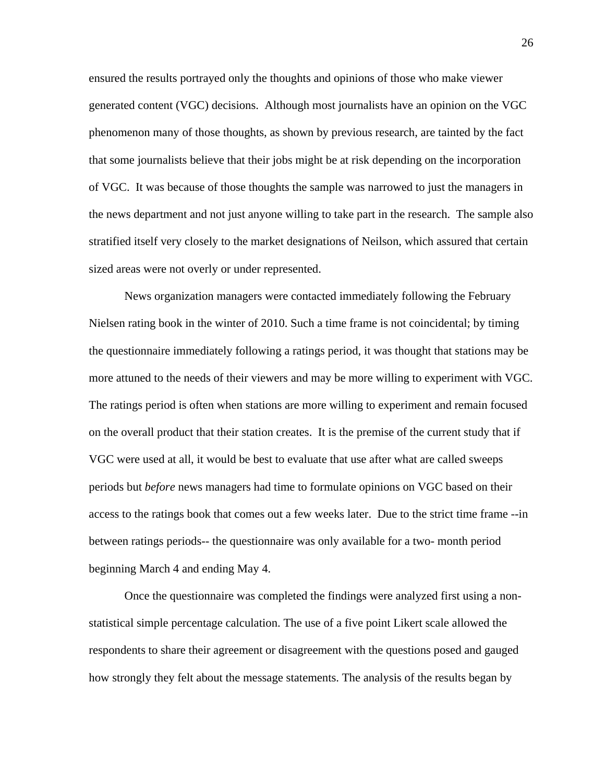ensured the results portrayed only the thoughts and opinions of those who make viewer generated content (VGC) decisions. Although most journalists have an opinion on the VGC phenomenon many of those thoughts, as shown by previous research, are tainted by the fact that some journalists believe that their jobs might be at risk depending on the incorporation of VGC. It was because of those thoughts the sample was narrowed to just the managers in the news department and not just anyone willing to take part in the research. The sample also stratified itself very closely to the market designations of Neilson, which assured that certain sized areas were not overly or under represented.

News organization managers were contacted immediately following the February Nielsen rating book in the winter of 2010. Such a time frame is not coincidental; by timing the questionnaire immediately following a ratings period, it was thought that stations may be more attuned to the needs of their viewers and may be more willing to experiment with VGC. The ratings period is often when stations are more willing to experiment and remain focused on the overall product that their station creates. It is the premise of the current study that if VGC were used at all, it would be best to evaluate that use after what are called sweeps periods but *before* news managers had time to formulate opinions on VGC based on their access to the ratings book that comes out a few weeks later. Due to the strict time frame --in between ratings periods-- the questionnaire was only available for a two- month period beginning March 4 and ending May 4.

Once the questionnaire was completed the findings were analyzed first using a nonstatistical simple percentage calculation. The use of a five point Likert scale allowed the respondents to share their agreement or disagreement with the questions posed and gauged how strongly they felt about the message statements. The analysis of the results began by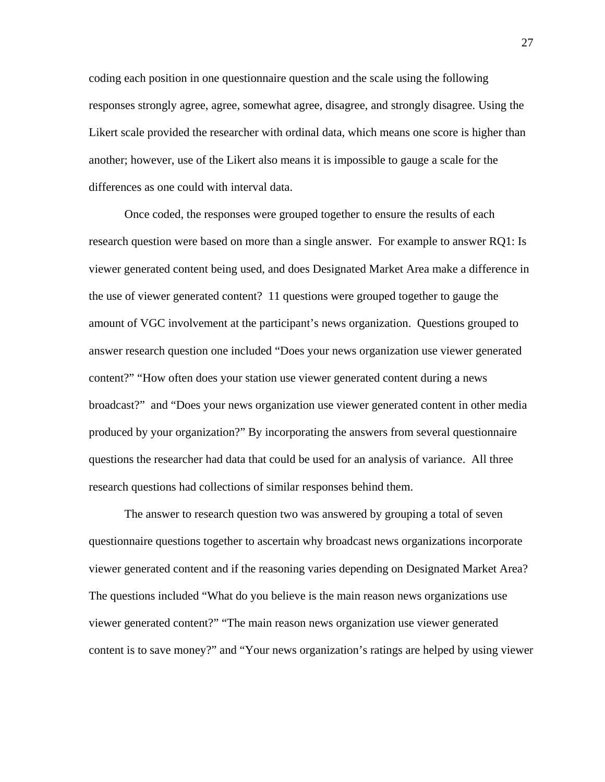coding each position in one questionnaire question and the scale using the following responses strongly agree, agree, somewhat agree, disagree, and strongly disagree. Using the Likert scale provided the researcher with ordinal data, which means one score is higher than another; however, use of the Likert also means it is impossible to gauge a scale for the differences as one could with interval data.

Once coded, the responses were grouped together to ensure the results of each research question were based on more than a single answer. For example to answer RQ1: Is viewer generated content being used, and does Designated Market Area make a difference in the use of viewer generated content? 11 questions were grouped together to gauge the amount of VGC involvement at the participant's news organization. Questions grouped to answer research question one included "Does your news organization use viewer generated content?" "How often does your station use viewer generated content during a news broadcast?" and "Does your news organization use viewer generated content in other media produced by your organization?" By incorporating the answers from several questionnaire questions the researcher had data that could be used for an analysis of variance. All three research questions had collections of similar responses behind them.

The answer to research question two was answered by grouping a total of seven questionnaire questions together to ascertain why broadcast news organizations incorporate viewer generated content and if the reasoning varies depending on Designated Market Area? The questions included "What do you believe is the main reason news organizations use viewer generated content?" "The main reason news organization use viewer generated content is to save money?" and "Your news organization's ratings are helped by using viewer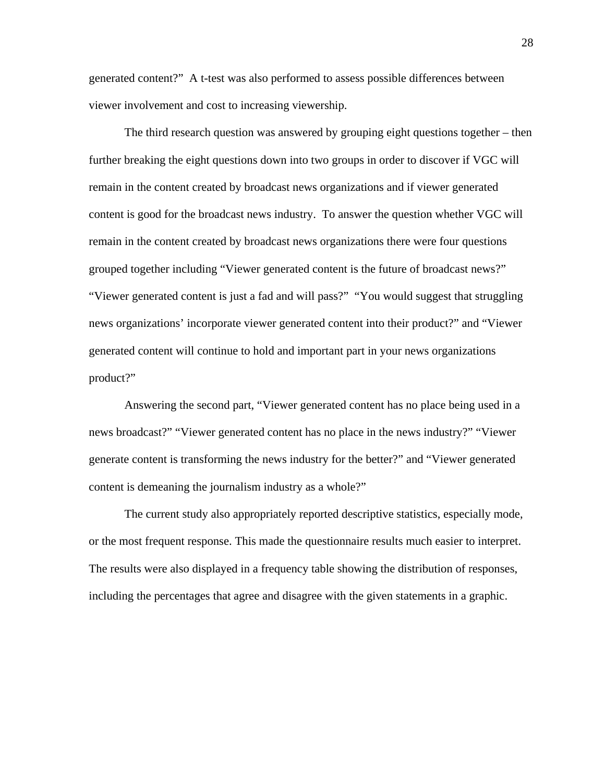generated content?" A t-test was also performed to assess possible differences between viewer involvement and cost to increasing viewership.

The third research question was answered by grouping eight questions together – then further breaking the eight questions down into two groups in order to discover if VGC will remain in the content created by broadcast news organizations and if viewer generated content is good for the broadcast news industry. To answer the question whether VGC will remain in the content created by broadcast news organizations there were four questions grouped together including "Viewer generated content is the future of broadcast news?" "Viewer generated content is just a fad and will pass?" "You would suggest that struggling news organizations' incorporate viewer generated content into their product?" and "Viewer generated content will continue to hold and important part in your news organizations product?"

Answering the second part, "Viewer generated content has no place being used in a news broadcast?" "Viewer generated content has no place in the news industry?" "Viewer generate content is transforming the news industry for the better?" and "Viewer generated content is demeaning the journalism industry as a whole?"

The current study also appropriately reported descriptive statistics, especially mode, or the most frequent response. This made the questionnaire results much easier to interpret. The results were also displayed in a frequency table showing the distribution of responses, including the percentages that agree and disagree with the given statements in a graphic.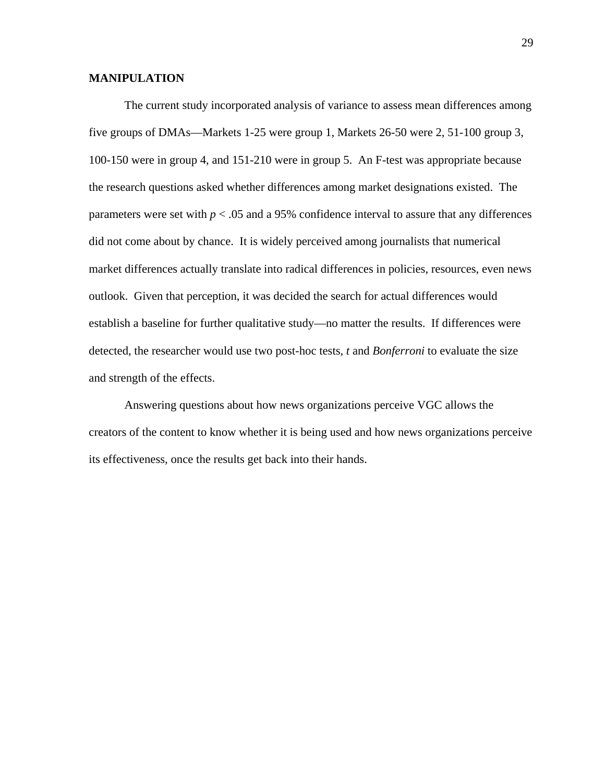#### **MANIPULATION**

The current study incorporated analysis of variance to assess mean differences among five groups of DMAs—Markets 1-25 were group 1, Markets 26-50 were 2, 51-100 group 3, 100-150 were in group 4, and 151-210 were in group 5. An F-test was appropriate because the research questions asked whether differences among market designations existed. The parameters were set with  $p < .05$  and a 95% confidence interval to assure that any differences did not come about by chance. It is widely perceived among journalists that numerical market differences actually translate into radical differences in policies, resources, even news outlook. Given that perception, it was decided the search for actual differences would establish a baseline for further qualitative study—no matter the results. If differences were detected, the researcher would use two post-hoc tests, *t* and *Bonferroni* to evaluate the size and strength of the effects.

Answering questions about how news organizations perceive VGC allows the creators of the content to know whether it is being used and how news organizations perceive its effectiveness, once the results get back into their hands.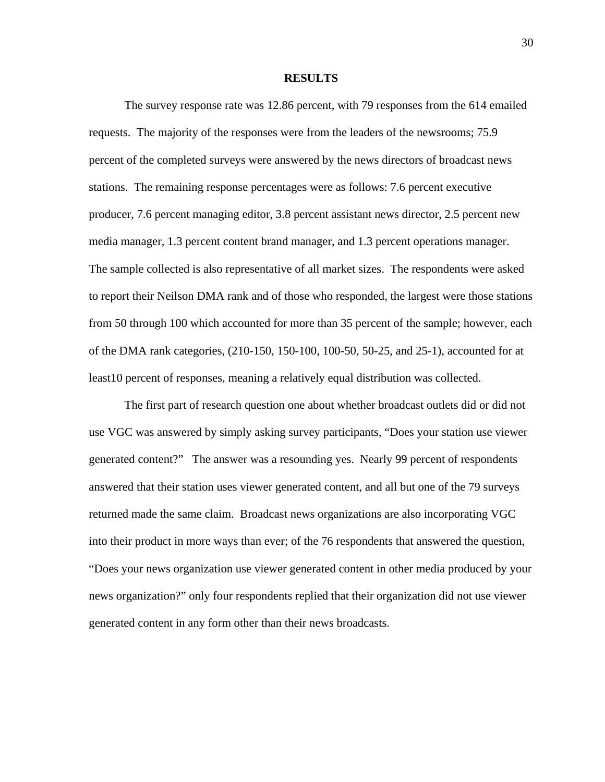#### **RESULTS**

 The survey response rate was 12.86 percent, with 79 responses from the 614 emailed requests. The majority of the responses were from the leaders of the newsrooms; 75.9 percent of the completed surveys were answered by the news directors of broadcast news stations. The remaining response percentages were as follows: 7.6 percent executive producer, 7.6 percent managing editor, 3.8 percent assistant news director, 2.5 percent new media manager, 1.3 percent content brand manager, and 1.3 percent operations manager. The sample collected is also representative of all market sizes. The respondents were asked to report their Neilson DMA rank and of those who responded, the largest were those stations from 50 through 100 which accounted for more than 35 percent of the sample; however, each of the DMA rank categories, (210-150, 150-100, 100-50, 50-25, and 25-1), accounted for at least10 percent of responses, meaning a relatively equal distribution was collected.

 The first part of research question one about whether broadcast outlets did or did not use VGC was answered by simply asking survey participants, "Does your station use viewer generated content?" The answer was a resounding yes. Nearly 99 percent of respondents answered that their station uses viewer generated content, and all but one of the 79 surveys returned made the same claim. Broadcast news organizations are also incorporating VGC into their product in more ways than ever; of the 76 respondents that answered the question, "Does your news organization use viewer generated content in other media produced by your news organization?" only four respondents replied that their organization did not use viewer generated content in any form other than their news broadcasts.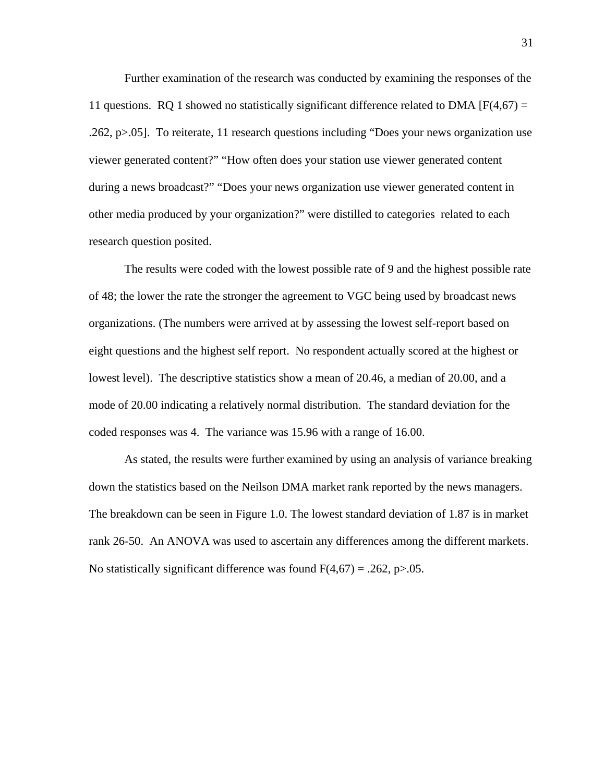Further examination of the research was conducted by examining the responses of the 11 questions. RQ 1 showed no statistically significant difference related to DMA  $[F(4,67) =$ .262, p>.05]. To reiterate, 11 research questions including "Does your news organization use viewer generated content?" "How often does your station use viewer generated content during a news broadcast?" "Does your news organization use viewer generated content in other media produced by your organization?" were distilled to categories related to each research question posited.

The results were coded with the lowest possible rate of 9 and the highest possible rate of 48; the lower the rate the stronger the agreement to VGC being used by broadcast news organizations. (The numbers were arrived at by assessing the lowest self-report based on eight questions and the highest self report. No respondent actually scored at the highest or lowest level). The descriptive statistics show a mean of 20.46, a median of 20.00, and a mode of 20.00 indicating a relatively normal distribution. The standard deviation for the coded responses was 4. The variance was 15.96 with a range of 16.00.

As stated, the results were further examined by using an analysis of variance breaking down the statistics based on the Neilson DMA market rank reported by the news managers. The breakdown can be seen in Figure 1.0. The lowest standard deviation of 1.87 is in market rank 26-50. An ANOVA was used to ascertain any differences among the different markets. No statistically significant difference was found  $F(4,67) = .262$ , p $> 0.05$ .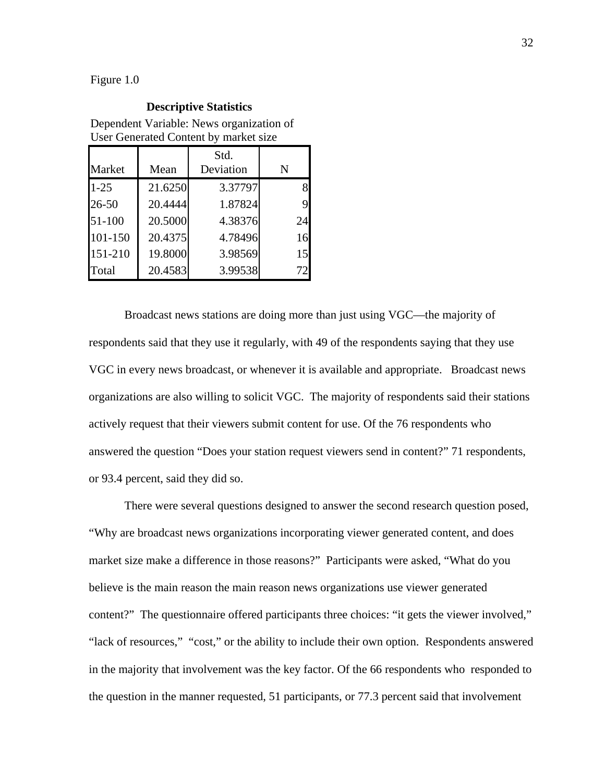Figure 1.0

#### **Descriptive Statistics**

Dependent Variable: News organization of User Generated Content by market size

| Market   | Mean    | Std.<br>Deviation | N  |
|----------|---------|-------------------|----|
| $1 - 25$ | 21.6250 | 3.37797           |    |
| 26-50    | 20.4444 | 1.87824           |    |
| 51-100   | 20.5000 | 4.38376           | 24 |
| 101-150  | 20.4375 | 4.78496           | 16 |
| 151-210  | 19.8000 | 3.98569           | 15 |
| Total    | 20.4583 | 3.99538           | 72 |

 Broadcast news stations are doing more than just using VGC—the majority of respondents said that they use it regularly, with 49 of the respondents saying that they use VGC in every news broadcast, or whenever it is available and appropriate. Broadcast news organizations are also willing to solicit VGC. The majority of respondents said their stations actively request that their viewers submit content for use. Of the 76 respondents who answered the question "Does your station request viewers send in content?" 71 respondents, or 93.4 percent, said they did so.

There were several questions designed to answer the second research question posed, "Why are broadcast news organizations incorporating viewer generated content, and does market size make a difference in those reasons?" Participants were asked, "What do you believe is the main reason the main reason news organizations use viewer generated content?" The questionnaire offered participants three choices: "it gets the viewer involved," "lack of resources," "cost," or the ability to include their own option. Respondents answered in the majority that involvement was the key factor. Of the 66 respondents who responded to the question in the manner requested, 51 participants, or 77.3 percent said that involvement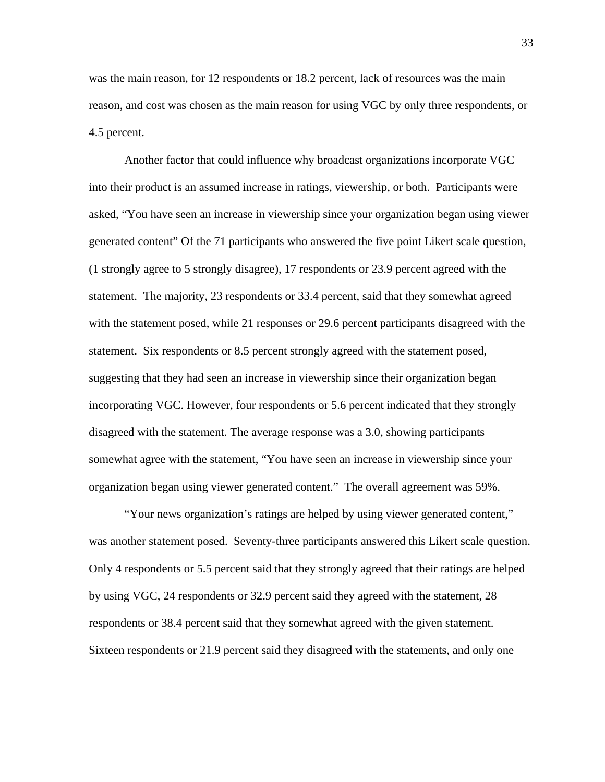was the main reason, for 12 respondents or 18.2 percent, lack of resources was the main reason, and cost was chosen as the main reason for using VGC by only three respondents, or 4.5 percent.

 Another factor that could influence why broadcast organizations incorporate VGC into their product is an assumed increase in ratings, viewership, or both. Participants were asked, "You have seen an increase in viewership since your organization began using viewer generated content" Of the 71 participants who answered the five point Likert scale question, (1 strongly agree to 5 strongly disagree), 17 respondents or 23.9 percent agreed with the statement. The majority, 23 respondents or 33.4 percent, said that they somewhat agreed with the statement posed, while 21 responses or 29.6 percent participants disagreed with the statement. Six respondents or 8.5 percent strongly agreed with the statement posed, suggesting that they had seen an increase in viewership since their organization began incorporating VGC. However, four respondents or 5.6 percent indicated that they strongly disagreed with the statement. The average response was a 3.0, showing participants somewhat agree with the statement, "You have seen an increase in viewership since your organization began using viewer generated content." The overall agreement was 59%.

 "Your news organization's ratings are helped by using viewer generated content," was another statement posed. Seventy-three participants answered this Likert scale question. Only 4 respondents or 5.5 percent said that they strongly agreed that their ratings are helped by using VGC, 24 respondents or 32.9 percent said they agreed with the statement, 28 respondents or 38.4 percent said that they somewhat agreed with the given statement. Sixteen respondents or 21.9 percent said they disagreed with the statements, and only one

33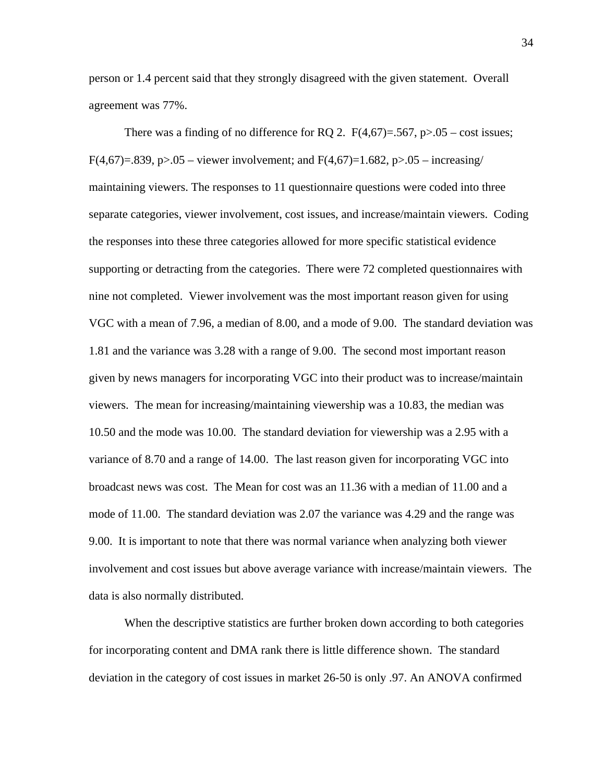person or 1.4 percent said that they strongly disagreed with the given statement. Overall agreement was 77%.

There was a finding of no difference for RQ 2.  $F(4,67)=0.567$ , p $>0.05 - \text{cost}$  issues; F(4,67)=.839, p>.05 – viewer involvement; and F(4,67)=1.682, p>.05 – increasing/ maintaining viewers. The responses to 11 questionnaire questions were coded into three separate categories, viewer involvement, cost issues, and increase/maintain viewers. Coding the responses into these three categories allowed for more specific statistical evidence supporting or detracting from the categories. There were 72 completed questionnaires with nine not completed. Viewer involvement was the most important reason given for using VGC with a mean of 7.96, a median of 8.00, and a mode of 9.00. The standard deviation was 1.81 and the variance was 3.28 with a range of 9.00. The second most important reason given by news managers for incorporating VGC into their product was to increase/maintain viewers. The mean for increasing/maintaining viewership was a 10.83, the median was 10.50 and the mode was 10.00. The standard deviation for viewership was a 2.95 with a variance of 8.70 and a range of 14.00. The last reason given for incorporating VGC into broadcast news was cost. The Mean for cost was an 11.36 with a median of 11.00 and a mode of 11.00. The standard deviation was 2.07 the variance was 4.29 and the range was 9.00. It is important to note that there was normal variance when analyzing both viewer involvement and cost issues but above average variance with increase/maintain viewers. The data is also normally distributed.

 When the descriptive statistics are further broken down according to both categories for incorporating content and DMA rank there is little difference shown. The standard deviation in the category of cost issues in market 26-50 is only .97. An ANOVA confirmed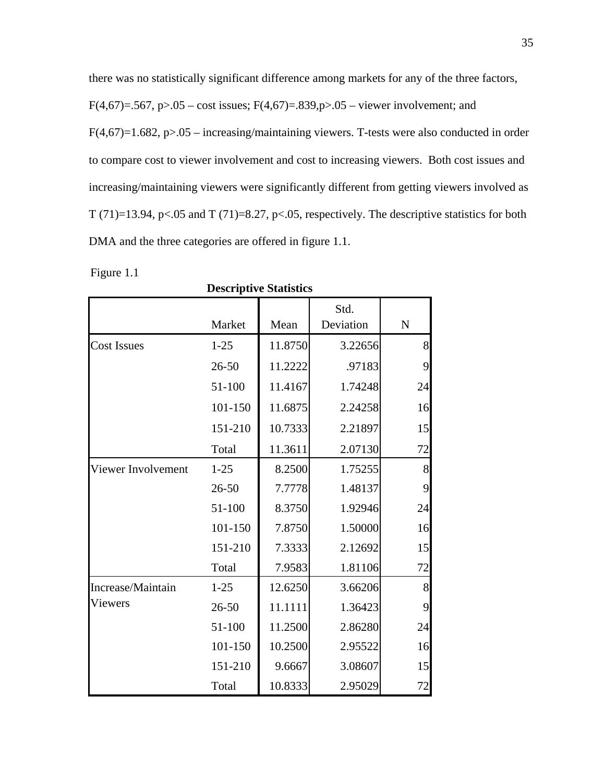there was no statistically significant difference among markets for any of the three factors, F(4,67)=.567, p>.05 – cost issues; F(4,67)=.839,p>.05 – viewer involvement; and F(4,67)=1.682, p>.05 – increasing/maintaining viewers. T-tests were also conducted in order to compare cost to viewer involvement and cost to increasing viewers. Both cost issues and increasing/maintaining viewers were significantly different from getting viewers involved as T (71)=13.94, p<.05 and T (71)=8.27, p<.05, respectively. The descriptive statistics for both DMA and the three categories are offered in figure 1.1.

| 1911 r |  |
|--------|--|
|        |  |

| Descriptive Statistics |           |         |                   |           |
|------------------------|-----------|---------|-------------------|-----------|
|                        | Market    | Mean    | Std.<br>Deviation | ${\bf N}$ |
| <b>Cost Issues</b>     | $1 - 25$  | 11.8750 | 3.22656           | 8         |
|                        | $26 - 50$ | 11.2222 | .97183            | 9         |
|                        | 51-100    | 11.4167 | 1.74248           | 24        |
|                        | 101-150   | 11.6875 | 2.24258           | 16        |
|                        | 151-210   | 10.7333 | 2.21897           | 15        |
|                        | Total     | 11.3611 | 2.07130           | 72        |
| Viewer Involvement     | $1 - 25$  | 8.2500  | 1.75255           | 8         |
|                        | $26 - 50$ | 7.7778  | 1.48137           | 9         |
|                        | 51-100    | 8.3750  | 1.92946           | 24        |
|                        | 101-150   | 7.8750  | 1.50000           | 16        |
|                        | 151-210   | 7.3333  | 2.12692           | 15        |
|                        | Total     | 7.9583  | 1.81106           | 72        |
| Increase/Maintain      | $1 - 25$  | 12.6250 | 3.66206           | 8         |
| Viewers                | $26 - 50$ | 11.1111 | 1.36423           | 9         |
|                        | 51-100    | 11.2500 | 2.86280           | 24        |
|                        | 101-150   | 10.2500 | 2.95522           | 16        |
|                        | 151-210   | 9.6667  | 3.08607           | 15        |
|                        | Total     | 10.8333 | 2.95029           | 72        |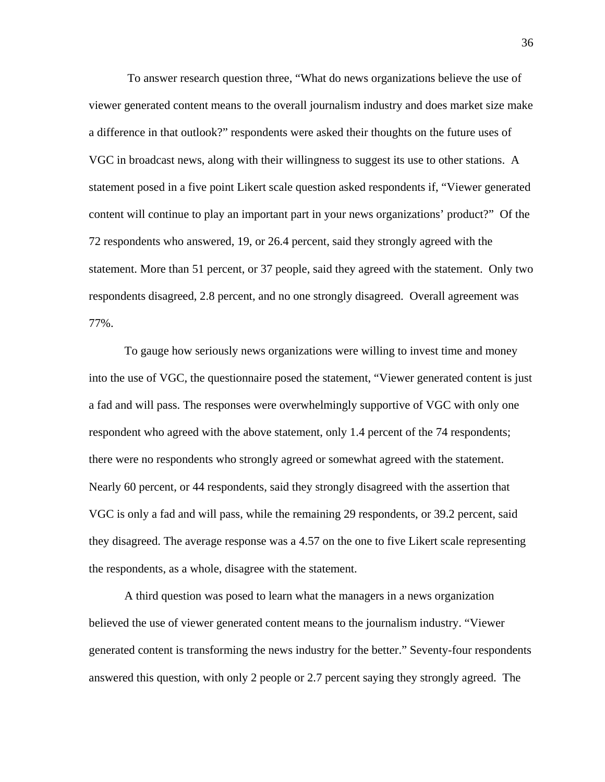To answer research question three, "What do news organizations believe the use of viewer generated content means to the overall journalism industry and does market size make a difference in that outlook?" respondents were asked their thoughts on the future uses of VGC in broadcast news, along with their willingness to suggest its use to other stations. A statement posed in a five point Likert scale question asked respondents if, "Viewer generated content will continue to play an important part in your news organizations' product?" Of the 72 respondents who answered, 19, or 26.4 percent, said they strongly agreed with the statement. More than 51 percent, or 37 people, said they agreed with the statement. Only two respondents disagreed, 2.8 percent, and no one strongly disagreed. Overall agreement was 77%.

To gauge how seriously news organizations were willing to invest time and money into the use of VGC, the questionnaire posed the statement, "Viewer generated content is just a fad and will pass. The responses were overwhelmingly supportive of VGC with only one respondent who agreed with the above statement, only 1.4 percent of the 74 respondents; there were no respondents who strongly agreed or somewhat agreed with the statement. Nearly 60 percent, or 44 respondents, said they strongly disagreed with the assertion that VGC is only a fad and will pass, while the remaining 29 respondents, or 39.2 percent, said they disagreed. The average response was a 4.57 on the one to five Likert scale representing the respondents, as a whole, disagree with the statement.

A third question was posed to learn what the managers in a news organization believed the use of viewer generated content means to the journalism industry. "Viewer generated content is transforming the news industry for the better." Seventy-four respondents answered this question, with only 2 people or 2.7 percent saying they strongly agreed. The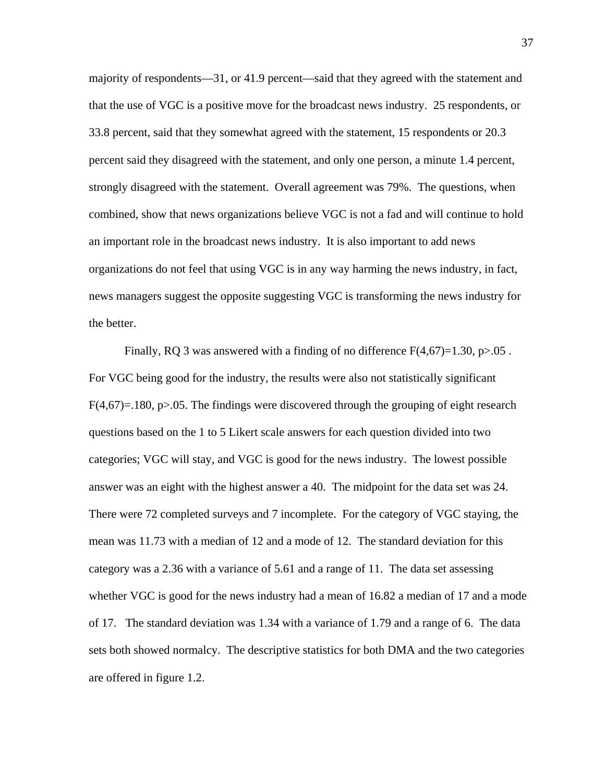majority of respondents—31, or 41.9 percent—said that they agreed with the statement and that the use of VGC is a positive move for the broadcast news industry. 25 respondents, or 33.8 percent, said that they somewhat agreed with the statement, 15 respondents or 20.3 percent said they disagreed with the statement, and only one person, a minute 1.4 percent, strongly disagreed with the statement. Overall agreement was 79%. The questions, when combined, show that news organizations believe VGC is not a fad and will continue to hold an important role in the broadcast news industry. It is also important to add news organizations do not feel that using VGC is in any way harming the news industry, in fact, news managers suggest the opposite suggesting VGC is transforming the news industry for the better.

Finally, RQ 3 was answered with a finding of no difference  $F(4,67)=1.30$ , p $>0.05$ . For VGC being good for the industry, the results were also not statistically significant  $F(4,67)=.180$ , p $> 0.05$ . The findings were discovered through the grouping of eight research questions based on the 1 to 5 Likert scale answers for each question divided into two categories; VGC will stay, and VGC is good for the news industry. The lowest possible answer was an eight with the highest answer a 40. The midpoint for the data set was 24. There were 72 completed surveys and 7 incomplete. For the category of VGC staying, the mean was 11.73 with a median of 12 and a mode of 12. The standard deviation for this category was a 2.36 with a variance of 5.61 and a range of 11. The data set assessing whether VGC is good for the news industry had a mean of 16.82 a median of 17 and a mode of 17. The standard deviation was 1.34 with a variance of 1.79 and a range of 6. The data sets both showed normalcy. The descriptive statistics for both DMA and the two categories are offered in figure 1.2.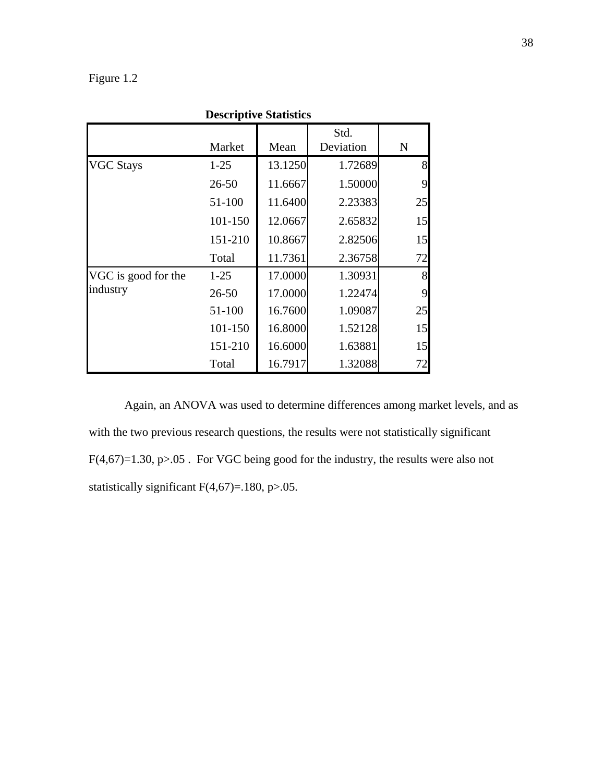### Figure 1.2

| <b>Descriptive Statistics</b> |           |         |                   |    |
|-------------------------------|-----------|---------|-------------------|----|
|                               | Market    | Mean    | Std.<br>Deviation | N  |
| <b>VGC Stays</b>              | $1 - 25$  | 13.1250 | 1.72689           | 8  |
|                               | $26 - 50$ | 11.6667 | 1.50000           | 9  |
|                               | 51-100    | 11.6400 | 2.23383           | 25 |
|                               | 101-150   | 12.0667 | 2.65832           | 15 |
|                               | 151-210   | 10.8667 | 2.82506           | 15 |
|                               | Total     | 11.7361 | 2.36758           | 72 |
| VGC is good for the           | $1 - 25$  | 17.0000 | 1.30931           | 8  |
| industry                      | $26 - 50$ | 17.0000 | 1.22474           | 9  |
|                               | 51-100    | 16.7600 | 1.09087           | 25 |
|                               | 101-150   | 16.8000 | 1.52128           | 15 |
|                               | 151-210   | 16.6000 | 1.63881           | 15 |
|                               | Total     | 16.7917 | 1.32088           | 72 |

Again, an ANOVA was used to determine differences among market levels, and as with the two previous research questions, the results were not statistically significant F(4,67)=1.30, p>.05 . For VGC being good for the industry, the results were also not statistically significant F(4,67)=.180, p>.05.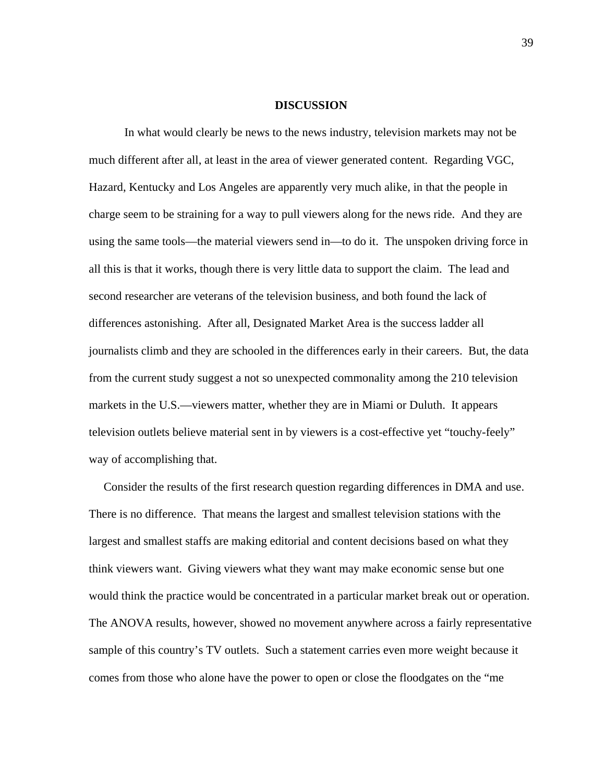#### **DISCUSSION**

 In what would clearly be news to the news industry, television markets may not be much different after all, at least in the area of viewer generated content. Regarding VGC, Hazard, Kentucky and Los Angeles are apparently very much alike, in that the people in charge seem to be straining for a way to pull viewers along for the news ride. And they are using the same tools—the material viewers send in—to do it. The unspoken driving force in all this is that it works, though there is very little data to support the claim. The lead and second researcher are veterans of the television business, and both found the lack of differences astonishing. After all, Designated Market Area is the success ladder all journalists climb and they are schooled in the differences early in their careers. But, the data from the current study suggest a not so unexpected commonality among the 210 television markets in the U.S.—viewers matter, whether they are in Miami or Duluth. It appears television outlets believe material sent in by viewers is a cost-effective yet "touchy-feely" way of accomplishing that.

 Consider the results of the first research question regarding differences in DMA and use. There is no difference. That means the largest and smallest television stations with the largest and smallest staffs are making editorial and content decisions based on what they think viewers want. Giving viewers what they want may make economic sense but one would think the practice would be concentrated in a particular market break out or operation. The ANOVA results, however, showed no movement anywhere across a fairly representative sample of this country's TV outlets. Such a statement carries even more weight because it comes from those who alone have the power to open or close the floodgates on the "me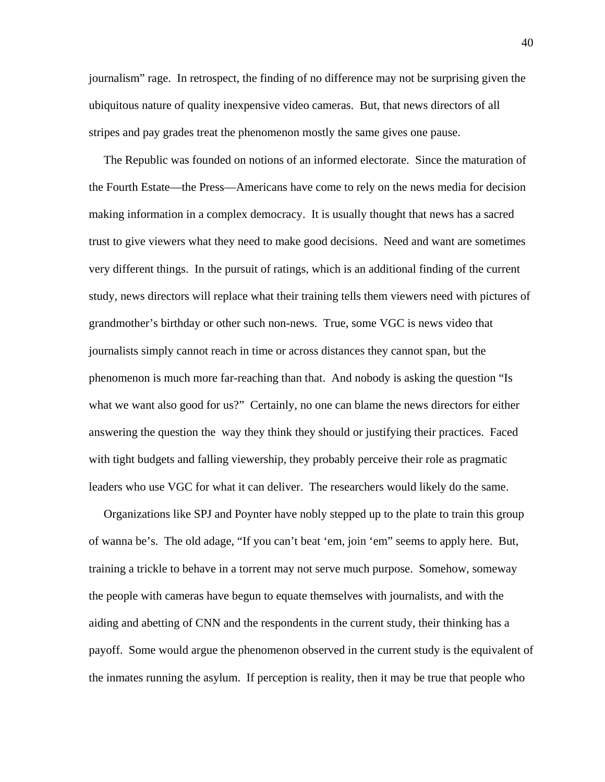journalism" rage. In retrospect, the finding of no difference may not be surprising given the ubiquitous nature of quality inexpensive video cameras. But, that news directors of all stripes and pay grades treat the phenomenon mostly the same gives one pause.

 The Republic was founded on notions of an informed electorate. Since the maturation of the Fourth Estate—the Press—Americans have come to rely on the news media for decision making information in a complex democracy. It is usually thought that news has a sacred trust to give viewers what they need to make good decisions. Need and want are sometimes very different things. In the pursuit of ratings, which is an additional finding of the current study, news directors will replace what their training tells them viewers need with pictures of grandmother's birthday or other such non-news. True, some VGC is news video that journalists simply cannot reach in time or across distances they cannot span, but the phenomenon is much more far-reaching than that. And nobody is asking the question "Is what we want also good for us?" Certainly, no one can blame the news directors for either answering the question the way they think they should or justifying their practices. Faced with tight budgets and falling viewership, they probably perceive their role as pragmatic leaders who use VGC for what it can deliver. The researchers would likely do the same.

 Organizations like SPJ and Poynter have nobly stepped up to the plate to train this group of wanna be's. The old adage, "If you can't beat 'em, join 'em" seems to apply here. But, training a trickle to behave in a torrent may not serve much purpose. Somehow, someway the people with cameras have begun to equate themselves with journalists, and with the aiding and abetting of CNN and the respondents in the current study, their thinking has a payoff. Some would argue the phenomenon observed in the current study is the equivalent of the inmates running the asylum. If perception is reality, then it may be true that people who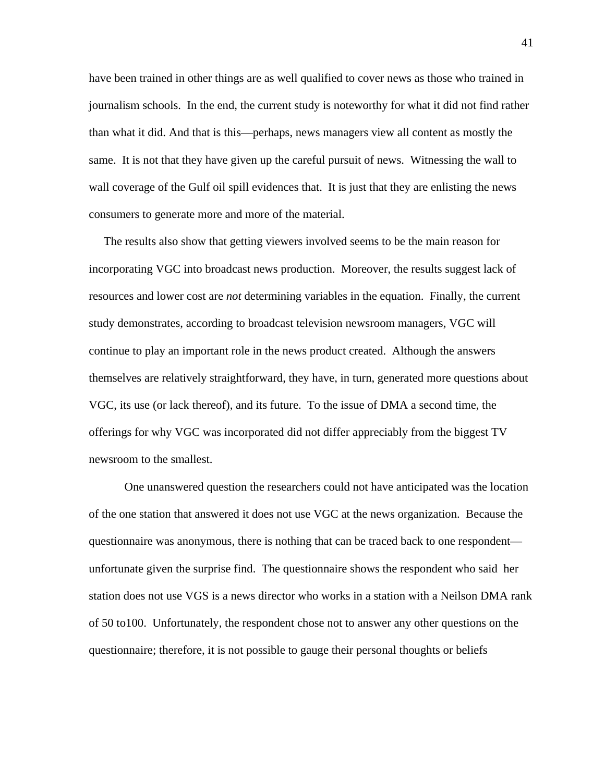have been trained in other things are as well qualified to cover news as those who trained in journalism schools. In the end, the current study is noteworthy for what it did not find rather than what it did. And that is this—perhaps, news managers view all content as mostly the same. It is not that they have given up the careful pursuit of news. Witnessing the wall to wall coverage of the Gulf oil spill evidences that. It is just that they are enlisting the news consumers to generate more and more of the material.

 The results also show that getting viewers involved seems to be the main reason for incorporating VGC into broadcast news production. Moreover, the results suggest lack of resources and lower cost are *not* determining variables in the equation. Finally, the current study demonstrates, according to broadcast television newsroom managers, VGC will continue to play an important role in the news product created. Although the answers themselves are relatively straightforward, they have, in turn, generated more questions about VGC, its use (or lack thereof), and its future. To the issue of DMA a second time, the offerings for why VGC was incorporated did not differ appreciably from the biggest TV newsroom to the smallest.

 One unanswered question the researchers could not have anticipated was the location of the one station that answered it does not use VGC at the news organization. Because the questionnaire was anonymous, there is nothing that can be traced back to one respondent unfortunate given the surprise find. The questionnaire shows the respondent who said her station does not use VGS is a news director who works in a station with a Neilson DMA rank of 50 to100. Unfortunately, the respondent chose not to answer any other questions on the questionnaire; therefore, it is not possible to gauge their personal thoughts or beliefs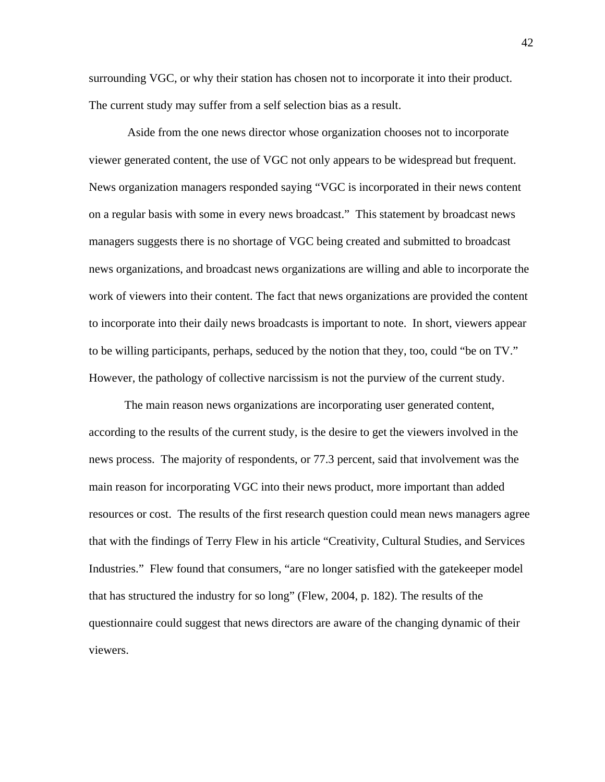surrounding VGC, or why their station has chosen not to incorporate it into their product. The current study may suffer from a self selection bias as a result.

 Aside from the one news director whose organization chooses not to incorporate viewer generated content, the use of VGC not only appears to be widespread but frequent. News organization managers responded saying "VGC is incorporated in their news content on a regular basis with some in every news broadcast." This statement by broadcast news managers suggests there is no shortage of VGC being created and submitted to broadcast news organizations, and broadcast news organizations are willing and able to incorporate the work of viewers into their content. The fact that news organizations are provided the content to incorporate into their daily news broadcasts is important to note. In short, viewers appear to be willing participants, perhaps, seduced by the notion that they, too, could "be on TV." However, the pathology of collective narcissism is not the purview of the current study.

 The main reason news organizations are incorporating user generated content, according to the results of the current study, is the desire to get the viewers involved in the news process. The majority of respondents, or 77.3 percent, said that involvement was the main reason for incorporating VGC into their news product, more important than added resources or cost. The results of the first research question could mean news managers agree that with the findings of Terry Flew in his article "Creativity, Cultural Studies, and Services Industries." Flew found that consumers, "are no longer satisfied with the gatekeeper model that has structured the industry for so long" (Flew, 2004, p. 182). The results of the questionnaire could suggest that news directors are aware of the changing dynamic of their viewers.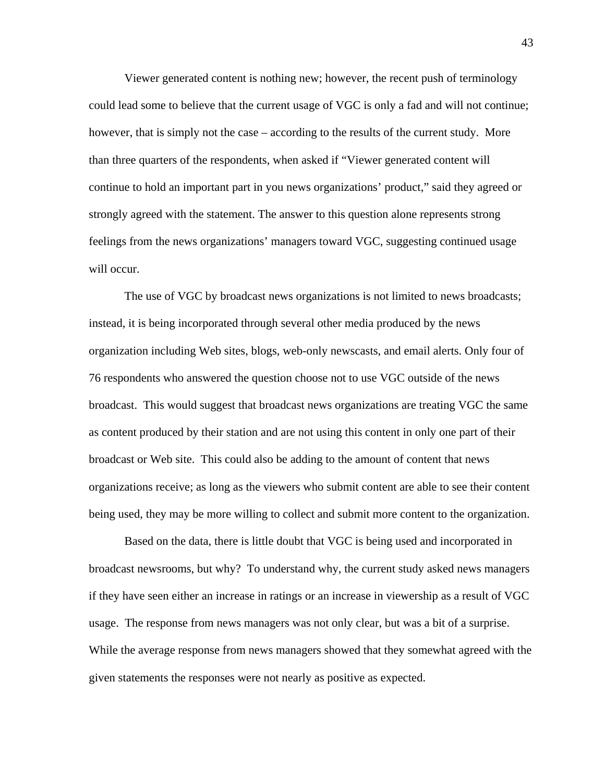Viewer generated content is nothing new; however, the recent push of terminology could lead some to believe that the current usage of VGC is only a fad and will not continue; however, that is simply not the case – according to the results of the current study. More than three quarters of the respondents, when asked if "Viewer generated content will continue to hold an important part in you news organizations' product," said they agreed or strongly agreed with the statement. The answer to this question alone represents strong feelings from the news organizations' managers toward VGC, suggesting continued usage will occur.

 The use of VGC by broadcast news organizations is not limited to news broadcasts; instead, it is being incorporated through several other media produced by the news organization including Web sites, blogs, web-only newscasts, and email alerts. Only four of 76 respondents who answered the question choose not to use VGC outside of the news broadcast. This would suggest that broadcast news organizations are treating VGC the same as content produced by their station and are not using this content in only one part of their broadcast or Web site. This could also be adding to the amount of content that news organizations receive; as long as the viewers who submit content are able to see their content being used, they may be more willing to collect and submit more content to the organization.

Based on the data, there is little doubt that VGC is being used and incorporated in broadcast newsrooms, but why? To understand why, the current study asked news managers if they have seen either an increase in ratings or an increase in viewership as a result of VGC usage. The response from news managers was not only clear, but was a bit of a surprise. While the average response from news managers showed that they somewhat agreed with the given statements the responses were not nearly as positive as expected.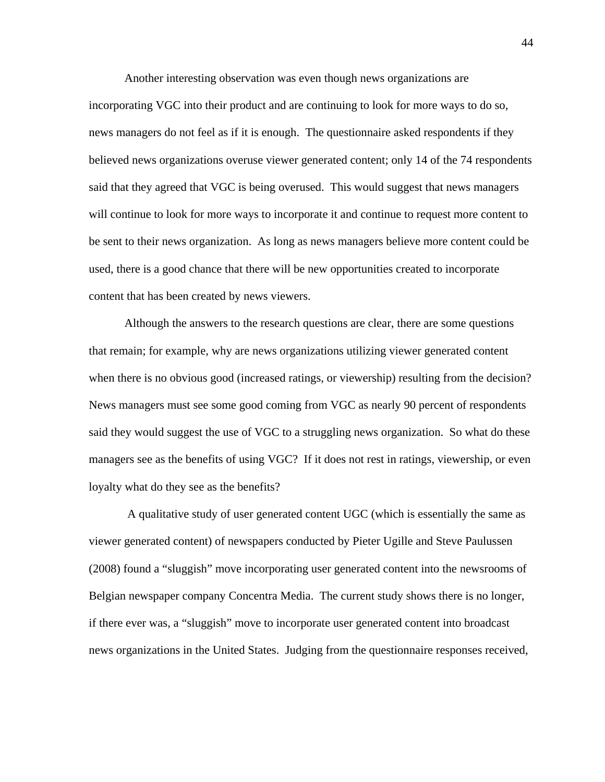Another interesting observation was even though news organizations are incorporating VGC into their product and are continuing to look for more ways to do so,

news managers do not feel as if it is enough. The questionnaire asked respondents if they believed news organizations overuse viewer generated content; only 14 of the 74 respondents said that they agreed that VGC is being overused. This would suggest that news managers will continue to look for more ways to incorporate it and continue to request more content to be sent to their news organization. As long as news managers believe more content could be used, there is a good chance that there will be new opportunities created to incorporate content that has been created by news viewers.

 Although the answers to the research questions are clear, there are some questions that remain; for example, why are news organizations utilizing viewer generated content when there is no obvious good (increased ratings, or viewership) resulting from the decision? News managers must see some good coming from VGC as nearly 90 percent of respondents said they would suggest the use of VGC to a struggling news organization. So what do these managers see as the benefits of using VGC? If it does not rest in ratings, viewership, or even loyalty what do they see as the benefits?

 A qualitative study of user generated content UGC (which is essentially the same as viewer generated content) of newspapers conducted by Pieter Ugille and Steve Paulussen (2008) found a "sluggish" move incorporating user generated content into the newsrooms of Belgian newspaper company Concentra Media. The current study shows there is no longer, if there ever was, a "sluggish" move to incorporate user generated content into broadcast news organizations in the United States. Judging from the questionnaire responses received,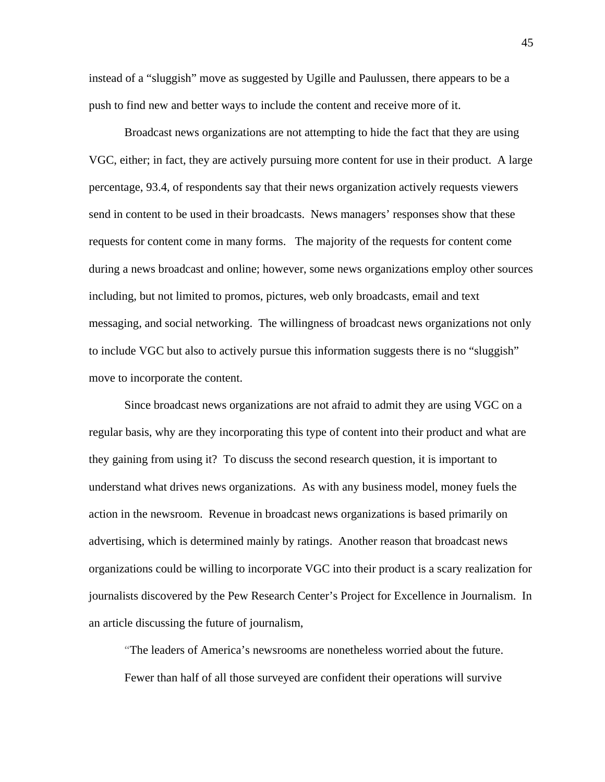instead of a "sluggish" move as suggested by Ugille and Paulussen, there appears to be a push to find new and better ways to include the content and receive more of it.

Broadcast news organizations are not attempting to hide the fact that they are using VGC, either; in fact, they are actively pursuing more content for use in their product. A large percentage, 93.4, of respondents say that their news organization actively requests viewers send in content to be used in their broadcasts. News managers' responses show that these requests for content come in many forms. The majority of the requests for content come during a news broadcast and online; however, some news organizations employ other sources including, but not limited to promos, pictures, web only broadcasts, email and text messaging, and social networking. The willingness of broadcast news organizations not only to include VGC but also to actively pursue this information suggests there is no "sluggish" move to incorporate the content.

 Since broadcast news organizations are not afraid to admit they are using VGC on a regular basis, why are they incorporating this type of content into their product and what are they gaining from using it? To discuss the second research question, it is important to understand what drives news organizations. As with any business model, money fuels the action in the newsroom. Revenue in broadcast news organizations is based primarily on advertising, which is determined mainly by ratings. Another reason that broadcast news organizations could be willing to incorporate VGC into their product is a scary realization for journalists discovered by the Pew Research Center's Project for Excellence in Journalism. In an article discussing the future of journalism,

"The leaders of America's newsrooms are nonetheless worried about the future. Fewer than half of all those surveyed are confident their operations will survive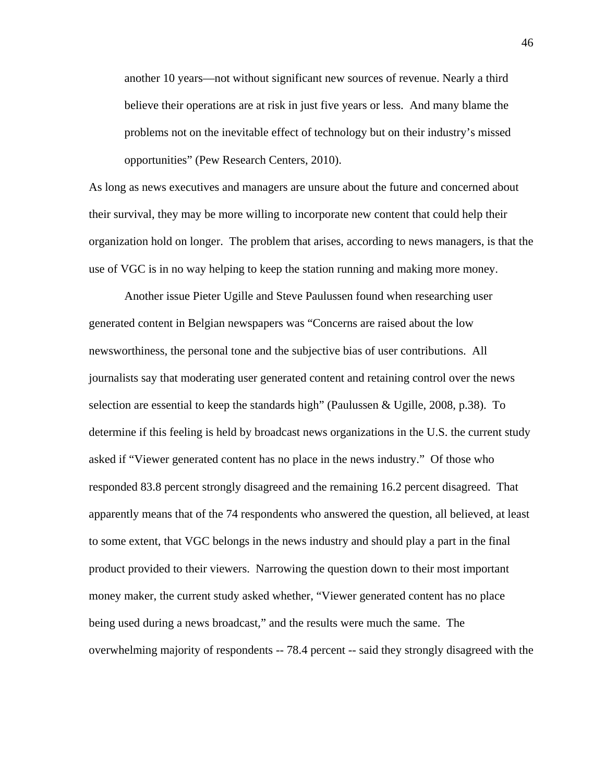another 10 years—not without significant new sources of revenue. Nearly a third believe their operations are at risk in just five years or less. And many blame the problems not on the inevitable effect of technology but on their industry's missed opportunities" (Pew Research Centers, 2010).

As long as news executives and managers are unsure about the future and concerned about their survival, they may be more willing to incorporate new content that could help their organization hold on longer. The problem that arises, according to news managers, is that the use of VGC is in no way helping to keep the station running and making more money.

Another issue Pieter Ugille and Steve Paulussen found when researching user generated content in Belgian newspapers was "Concerns are raised about the low newsworthiness, the personal tone and the subjective bias of user contributions. All journalists say that moderating user generated content and retaining control over the news selection are essential to keep the standards high" (Paulussen & Ugille, 2008, p.38). To determine if this feeling is held by broadcast news organizations in the U.S. the current study asked if "Viewer generated content has no place in the news industry." Of those who responded 83.8 percent strongly disagreed and the remaining 16.2 percent disagreed. That apparently means that of the 74 respondents who answered the question, all believed, at least to some extent, that VGC belongs in the news industry and should play a part in the final product provided to their viewers. Narrowing the question down to their most important money maker, the current study asked whether, "Viewer generated content has no place being used during a news broadcast," and the results were much the same. The overwhelming majority of respondents -- 78.4 percent -- said they strongly disagreed with the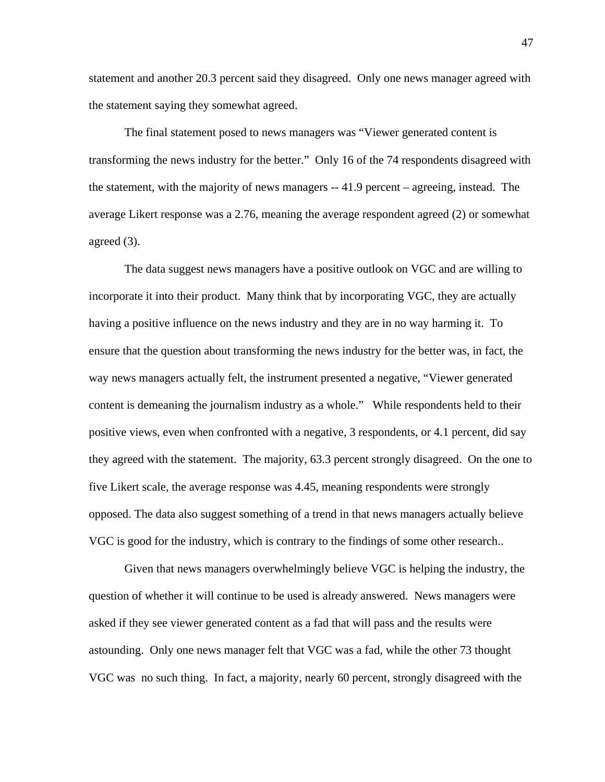statement and another 20.3 percent said they disagreed. Only one news manager agreed with the statement saying they somewhat agreed.

The final statement posed to news managers was "Viewer generated content is transforming the news industry for the better." Only 16 of the 74 respondents disagreed with the statement, with the majority of news managers -- 41.9 percent – agreeing, instead. The average Likert response was a 2.76, meaning the average respondent agreed (2) or somewhat agreed (3).

 The data suggest news managers have a positive outlook on VGC and are willing to incorporate it into their product. Many think that by incorporating VGC, they are actually having a positive influence on the news industry and they are in no way harming it. To ensure that the question about transforming the news industry for the better was, in fact, the way news managers actually felt, the instrument presented a negative, "Viewer generated content is demeaning the journalism industry as a whole." While respondents held to their positive views, even when confronted with a negative, 3 respondents, or 4.1 percent, did say they agreed with the statement. The majority, 63.3 percent strongly disagreed. On the one to five Likert scale, the average response was 4.45, meaning respondents were strongly opposed. The data also suggest something of a trend in that news managers actually believe VGC is good for the industry, which is contrary to the findings of some other research..

 Given that news managers overwhelmingly believe VGC is helping the industry, the question of whether it will continue to be used is already answered. News managers were asked if they see viewer generated content as a fad that will pass and the results were astounding. Only one news manager felt that VGC was a fad, while the other 73 thought VGC was no such thing. In fact, a majority, nearly 60 percent, strongly disagreed with the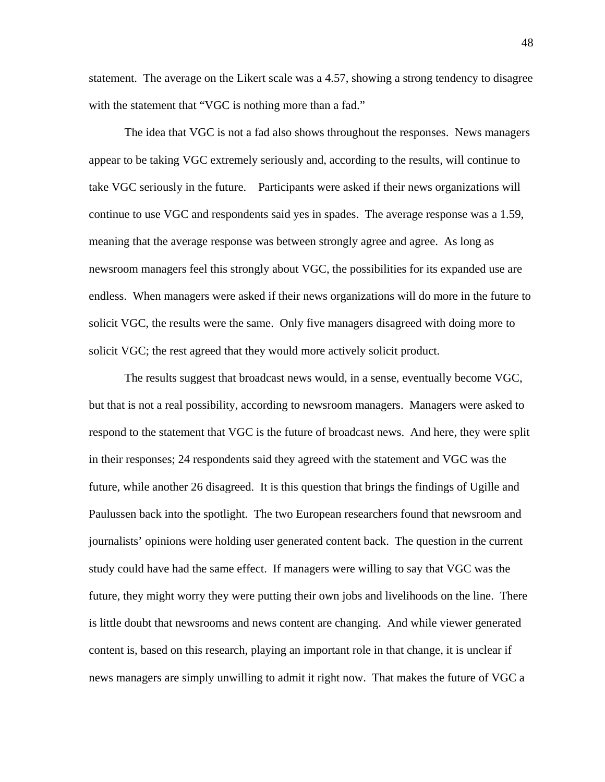statement. The average on the Likert scale was a 4.57, showing a strong tendency to disagree with the statement that "VGC is nothing more than a fad."

 The idea that VGC is not a fad also shows throughout the responses. News managers appear to be taking VGC extremely seriously and, according to the results, will continue to take VGC seriously in the future. Participants were asked if their news organizations will continue to use VGC and respondents said yes in spades. The average response was a 1.59, meaning that the average response was between strongly agree and agree. As long as newsroom managers feel this strongly about VGC, the possibilities for its expanded use are endless. When managers were asked if their news organizations will do more in the future to solicit VGC, the results were the same. Only five managers disagreed with doing more to solicit VGC; the rest agreed that they would more actively solicit product.

The results suggest that broadcast news would, in a sense, eventually become VGC, but that is not a real possibility, according to newsroom managers. Managers were asked to respond to the statement that VGC is the future of broadcast news. And here, they were split in their responses; 24 respondents said they agreed with the statement and VGC was the future, while another 26 disagreed. It is this question that brings the findings of Ugille and Paulussen back into the spotlight. The two European researchers found that newsroom and journalists' opinions were holding user generated content back. The question in the current study could have had the same effect. If managers were willing to say that VGC was the future, they might worry they were putting their own jobs and livelihoods on the line. There is little doubt that newsrooms and news content are changing. And while viewer generated content is, based on this research, playing an important role in that change, it is unclear if news managers are simply unwilling to admit it right now. That makes the future of VGC a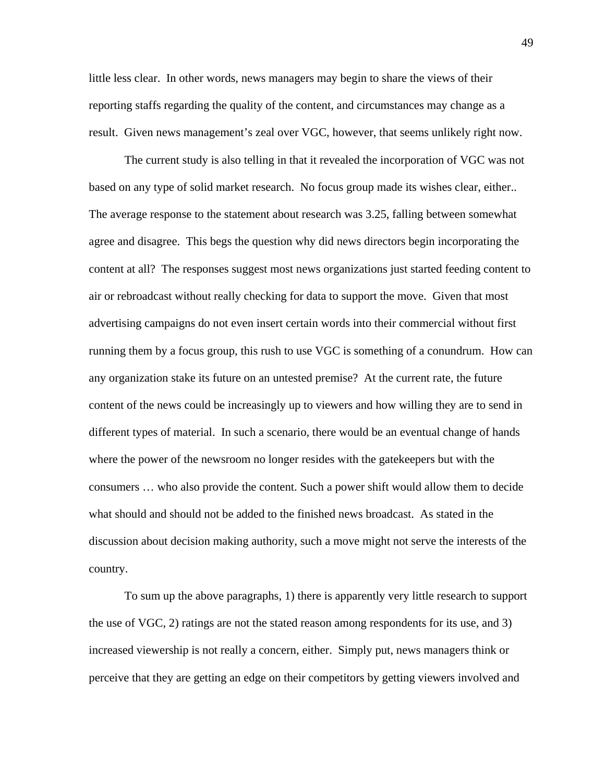little less clear. In other words, news managers may begin to share the views of their reporting staffs regarding the quality of the content, and circumstances may change as a result. Given news management's zeal over VGC, however, that seems unlikely right now.

The current study is also telling in that it revealed the incorporation of VGC was not based on any type of solid market research. No focus group made its wishes clear, either.. The average response to the statement about research was 3.25, falling between somewhat agree and disagree. This begs the question why did news directors begin incorporating the content at all? The responses suggest most news organizations just started feeding content to air or rebroadcast without really checking for data to support the move. Given that most advertising campaigns do not even insert certain words into their commercial without first running them by a focus group, this rush to use VGC is something of a conundrum. How can any organization stake its future on an untested premise? At the current rate, the future content of the news could be increasingly up to viewers and how willing they are to send in different types of material. In such a scenario, there would be an eventual change of hands where the power of the newsroom no longer resides with the gatekeepers but with the consumers … who also provide the content. Such a power shift would allow them to decide what should and should not be added to the finished news broadcast. As stated in the discussion about decision making authority, such a move might not serve the interests of the country.

To sum up the above paragraphs, 1) there is apparently very little research to support the use of VGC, 2) ratings are not the stated reason among respondents for its use, and 3) increased viewership is not really a concern, either. Simply put, news managers think or perceive that they are getting an edge on their competitors by getting viewers involved and

49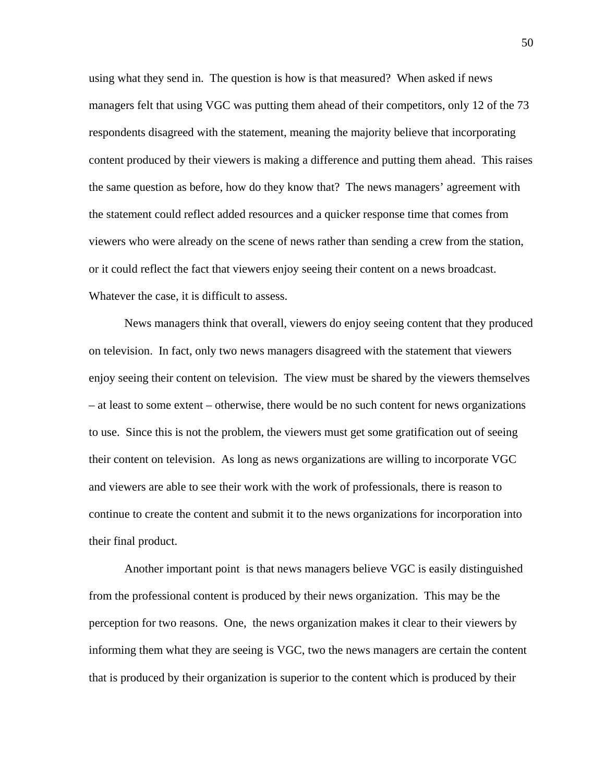using what they send in. The question is how is that measured? When asked if news managers felt that using VGC was putting them ahead of their competitors, only 12 of the 73 respondents disagreed with the statement, meaning the majority believe that incorporating content produced by their viewers is making a difference and putting them ahead. This raises the same question as before, how do they know that? The news managers' agreement with the statement could reflect added resources and a quicker response time that comes from viewers who were already on the scene of news rather than sending a crew from the station, or it could reflect the fact that viewers enjoy seeing their content on a news broadcast. Whatever the case, it is difficult to assess.

News managers think that overall, viewers do enjoy seeing content that they produced on television. In fact, only two news managers disagreed with the statement that viewers enjoy seeing their content on television. The view must be shared by the viewers themselves – at least to some extent – otherwise, there would be no such content for news organizations to use. Since this is not the problem, the viewers must get some gratification out of seeing their content on television. As long as news organizations are willing to incorporate VGC and viewers are able to see their work with the work of professionals, there is reason to continue to create the content and submit it to the news organizations for incorporation into their final product.

Another important point is that news managers believe VGC is easily distinguished from the professional content is produced by their news organization. This may be the perception for two reasons. One, the news organization makes it clear to their viewers by informing them what they are seeing is VGC, two the news managers are certain the content that is produced by their organization is superior to the content which is produced by their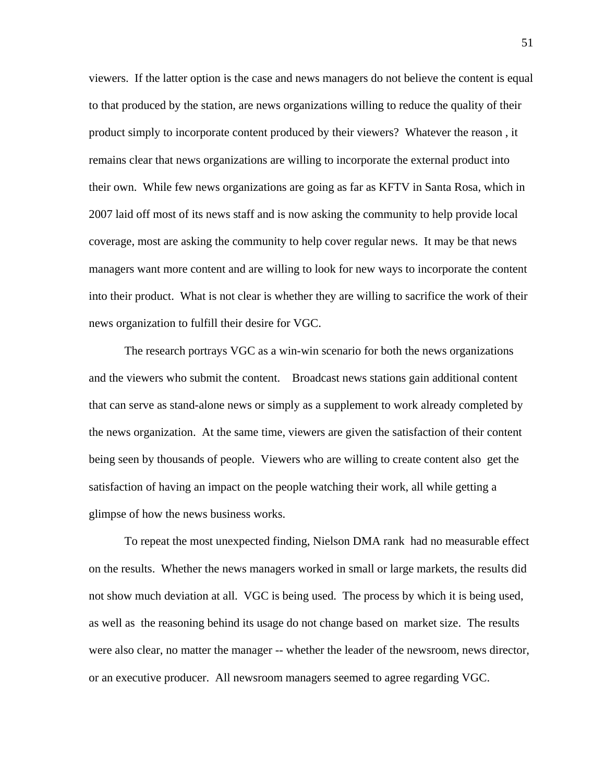viewers. If the latter option is the case and news managers do not believe the content is equal to that produced by the station, are news organizations willing to reduce the quality of their product simply to incorporate content produced by their viewers? Whatever the reason , it remains clear that news organizations are willing to incorporate the external product into their own. While few news organizations are going as far as KFTV in Santa Rosa, which in 2007 laid off most of its news staff and is now asking the community to help provide local coverage, most are asking the community to help cover regular news. It may be that news managers want more content and are willing to look for new ways to incorporate the content into their product. What is not clear is whether they are willing to sacrifice the work of their news organization to fulfill their desire for VGC.

The research portrays VGC as a win-win scenario for both the news organizations and the viewers who submit the content. Broadcast news stations gain additional content that can serve as stand-alone news or simply as a supplement to work already completed by the news organization. At the same time, viewers are given the satisfaction of their content being seen by thousands of people. Viewers who are willing to create content also get the satisfaction of having an impact on the people watching their work, all while getting a glimpse of how the news business works.

To repeat the most unexpected finding, Nielson DMA rank had no measurable effect on the results. Whether the news managers worked in small or large markets, the results did not show much deviation at all. VGC is being used. The process by which it is being used, as well as the reasoning behind its usage do not change based on market size. The results were also clear, no matter the manager -- whether the leader of the newsroom, news director, or an executive producer. All newsroom managers seemed to agree regarding VGC.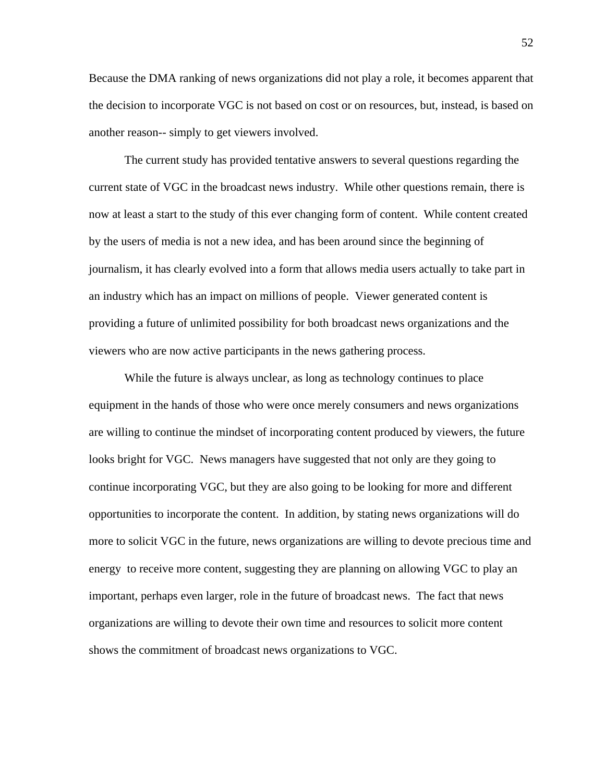Because the DMA ranking of news organizations did not play a role, it becomes apparent that the decision to incorporate VGC is not based on cost or on resources, but, instead, is based on another reason-- simply to get viewers involved.

The current study has provided tentative answers to several questions regarding the current state of VGC in the broadcast news industry. While other questions remain, there is now at least a start to the study of this ever changing form of content. While content created by the users of media is not a new idea, and has been around since the beginning of journalism, it has clearly evolved into a form that allows media users actually to take part in an industry which has an impact on millions of people. Viewer generated content is providing a future of unlimited possibility for both broadcast news organizations and the viewers who are now active participants in the news gathering process.

While the future is always unclear, as long as technology continues to place equipment in the hands of those who were once merely consumers and news organizations are willing to continue the mindset of incorporating content produced by viewers, the future looks bright for VGC. News managers have suggested that not only are they going to continue incorporating VGC, but they are also going to be looking for more and different opportunities to incorporate the content. In addition, by stating news organizations will do more to solicit VGC in the future, news organizations are willing to devote precious time and energy to receive more content, suggesting they are planning on allowing VGC to play an important, perhaps even larger, role in the future of broadcast news. The fact that news organizations are willing to devote their own time and resources to solicit more content shows the commitment of broadcast news organizations to VGC.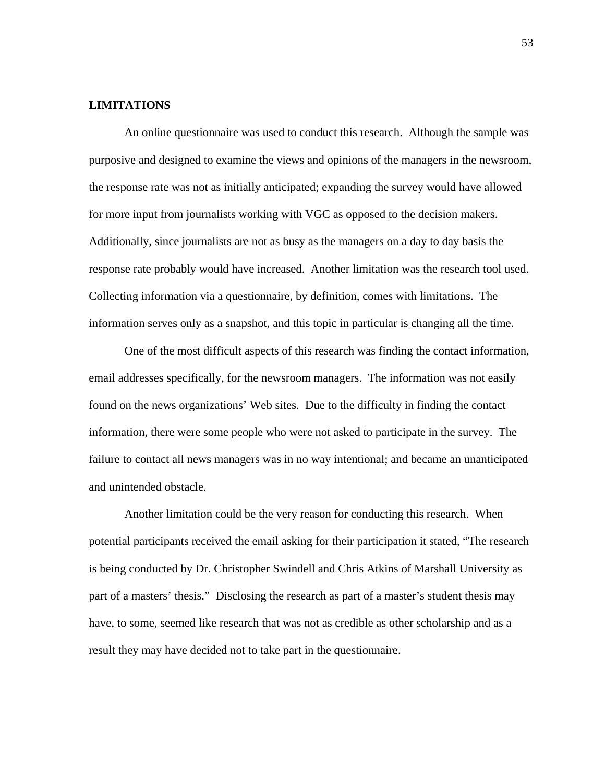#### **LIMITATIONS**

 An online questionnaire was used to conduct this research. Although the sample was purposive and designed to examine the views and opinions of the managers in the newsroom, the response rate was not as initially anticipated; expanding the survey would have allowed for more input from journalists working with VGC as opposed to the decision makers. Additionally, since journalists are not as busy as the managers on a day to day basis the response rate probably would have increased. Another limitation was the research tool used. Collecting information via a questionnaire, by definition, comes with limitations. The information serves only as a snapshot, and this topic in particular is changing all the time.

 One of the most difficult aspects of this research was finding the contact information, email addresses specifically, for the newsroom managers. The information was not easily found on the news organizations' Web sites. Due to the difficulty in finding the contact information, there were some people who were not asked to participate in the survey. The failure to contact all news managers was in no way intentional; and became an unanticipated and unintended obstacle.

 Another limitation could be the very reason for conducting this research. When potential participants received the email asking for their participation it stated, "The research is being conducted by Dr. Christopher Swindell and Chris Atkins of Marshall University as part of a masters' thesis." Disclosing the research as part of a master's student thesis may have, to some, seemed like research that was not as credible as other scholarship and as a result they may have decided not to take part in the questionnaire.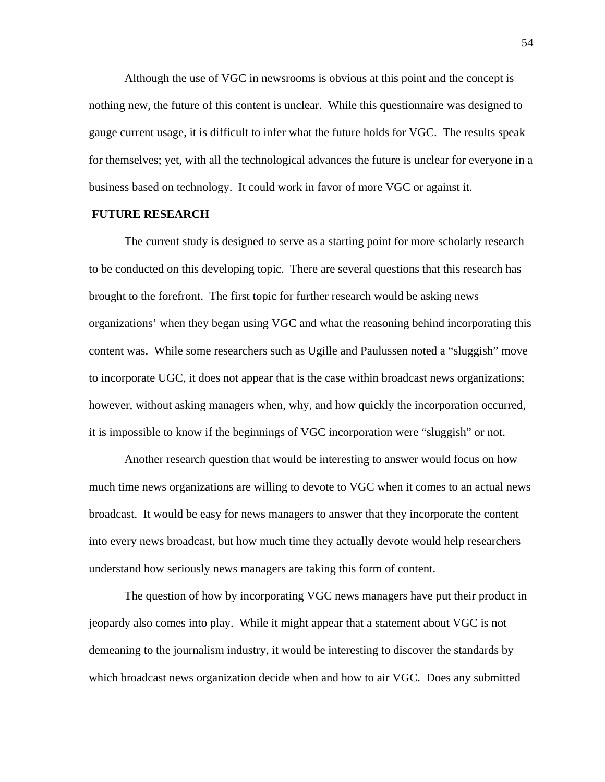Although the use of VGC in newsrooms is obvious at this point and the concept is nothing new, the future of this content is unclear. While this questionnaire was designed to gauge current usage, it is difficult to infer what the future holds for VGC. The results speak for themselves; yet, with all the technological advances the future is unclear for everyone in a business based on technology. It could work in favor of more VGC or against it.

#### **FUTURE RESEARCH**

The current study is designed to serve as a starting point for more scholarly research to be conducted on this developing topic. There are several questions that this research has brought to the forefront. The first topic for further research would be asking news organizations' when they began using VGC and what the reasoning behind incorporating this content was. While some researchers such as Ugille and Paulussen noted a "sluggish" move to incorporate UGC, it does not appear that is the case within broadcast news organizations; however, without asking managers when, why, and how quickly the incorporation occurred, it is impossible to know if the beginnings of VGC incorporation were "sluggish" or not.

 Another research question that would be interesting to answer would focus on how much time news organizations are willing to devote to VGC when it comes to an actual news broadcast. It would be easy for news managers to answer that they incorporate the content into every news broadcast, but how much time they actually devote would help researchers understand how seriously news managers are taking this form of content.

 The question of how by incorporating VGC news managers have put their product in jeopardy also comes into play. While it might appear that a statement about VGC is not demeaning to the journalism industry, it would be interesting to discover the standards by which broadcast news organization decide when and how to air VGC. Does any submitted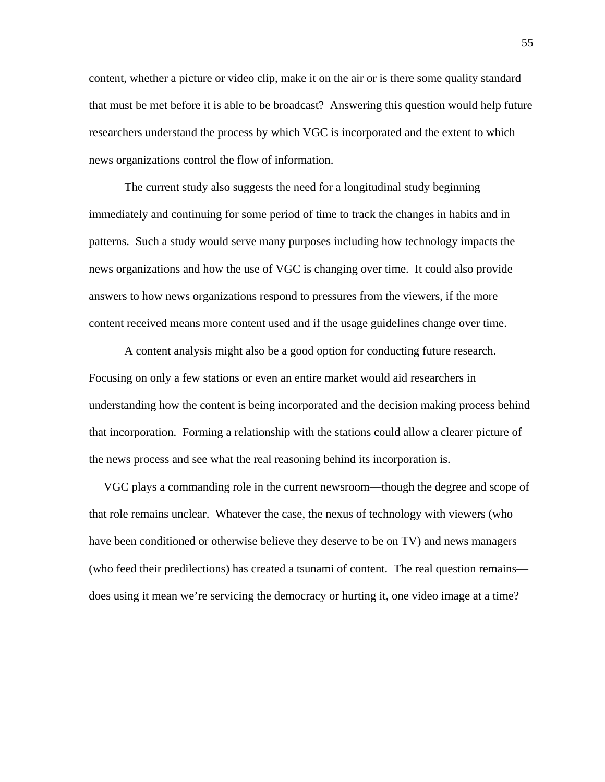content, whether a picture or video clip, make it on the air or is there some quality standard that must be met before it is able to be broadcast? Answering this question would help future researchers understand the process by which VGC is incorporated and the extent to which news organizations control the flow of information.

 The current study also suggests the need for a longitudinal study beginning immediately and continuing for some period of time to track the changes in habits and in patterns. Such a study would serve many purposes including how technology impacts the news organizations and how the use of VGC is changing over time. It could also provide answers to how news organizations respond to pressures from the viewers, if the more content received means more content used and if the usage guidelines change over time.

 A content analysis might also be a good option for conducting future research. Focusing on only a few stations or even an entire market would aid researchers in understanding how the content is being incorporated and the decision making process behind that incorporation. Forming a relationship with the stations could allow a clearer picture of the news process and see what the real reasoning behind its incorporation is.

 VGC plays a commanding role in the current newsroom—though the degree and scope of that role remains unclear. Whatever the case, the nexus of technology with viewers (who have been conditioned or otherwise believe they deserve to be on TV) and news managers (who feed their predilections) has created a tsunami of content. The real question remains does using it mean we're servicing the democracy or hurting it, one video image at a time?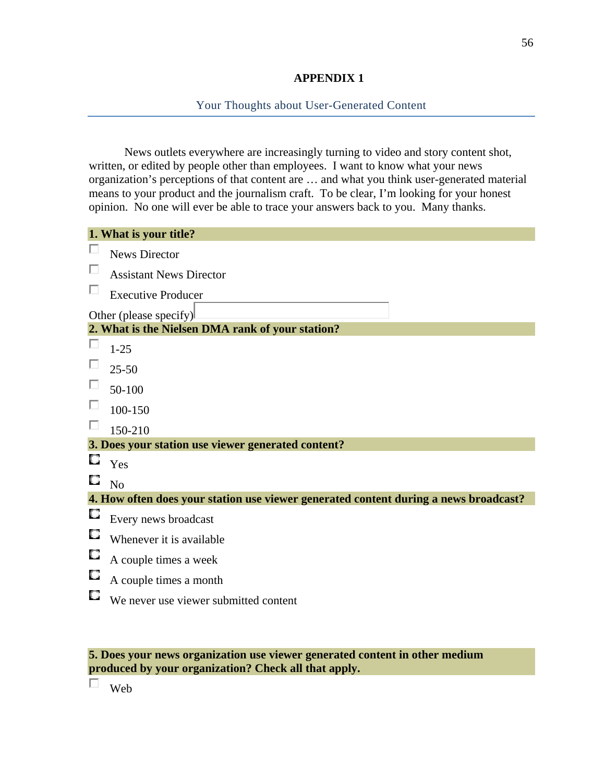### **APPENDIX 1**

#### Your Thoughts about User-Generated Content

News outlets everywhere are increasingly turning to video and story content shot, written, or edited by people other than employees. I want to know what your news organization's perceptions of that content are … and what you think user-generated material means to your product and the journalism craft. To be clear, I'm looking for your honest opinion. No one will ever be able to trace your answers back to you. Many thanks.

|   | 1. What is your title?                                                               |
|---|--------------------------------------------------------------------------------------|
| П | <b>News Director</b>                                                                 |
|   | <b>Assistant News Director</b>                                                       |
| Ш | <b>Executive Producer</b>                                                            |
|   | Other (please specify)                                                               |
|   | 2. What is the Nielsen DMA rank of your station?                                     |
|   | $1 - 25$                                                                             |
|   | $25 - 50$                                                                            |
|   | 50-100                                                                               |
|   | 100-150                                                                              |
|   | 150-210                                                                              |
|   | 3. Does your station use viewer generated content?                                   |
|   | Yes                                                                                  |
|   | No                                                                                   |
|   | 4. How often does your station use viewer generated content during a news broadcast? |
| O | Every news broadcast                                                                 |
| O | Whenever it is available                                                             |
| O | A couple times a week                                                                |
| O | A couple times a month                                                               |
| О | We never use viewer submitted content                                                |

#### **5. Does your news organization use viewer generated content in other medium produced by your organization? Check all that apply.**

 $\Box$  Web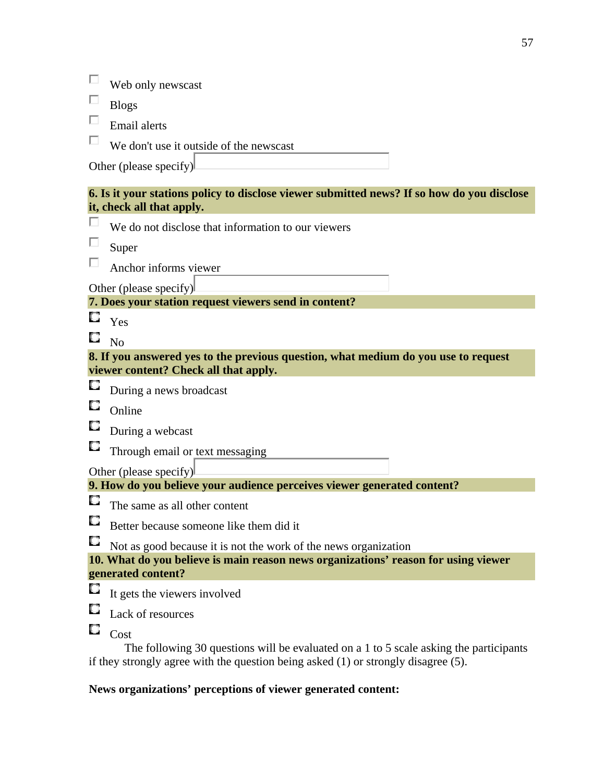|   | Web only newscast                                                                                                       |
|---|-------------------------------------------------------------------------------------------------------------------------|
|   | <b>Blogs</b>                                                                                                            |
|   | <b>Email</b> alerts                                                                                                     |
|   | We don't use it outside of the newscast                                                                                 |
|   | Other (please specify)                                                                                                  |
|   |                                                                                                                         |
|   | 6. Is it your stations policy to disclose viewer submitted news? If so how do you disclose<br>it, check all that apply. |
|   | We do not disclose that information to our viewers                                                                      |
|   |                                                                                                                         |
|   | Super                                                                                                                   |
|   | Anchor informs viewer                                                                                                   |
|   | Other (please specify)<br>7. Does your station request viewers send in content?                                         |
| U |                                                                                                                         |
| a | Yes                                                                                                                     |
|   | N <sub>o</sub><br>8. If you answered yes to the previous question, what medium do you use to request                    |
|   | viewer content? Check all that apply.                                                                                   |
| U | During a news broadcast                                                                                                 |
|   | Online                                                                                                                  |
|   | During a webcast                                                                                                        |
|   |                                                                                                                         |
|   | Through email or text messaging                                                                                         |
|   | Other (please specify)<br>9. How do you believe your audience perceives viewer generated content?                       |
|   |                                                                                                                         |
|   | The same as all other content                                                                                           |
|   | Better because someone like them did it                                                                                 |
|   | Not as good because it is not the work of the news organization                                                         |
|   | 10. What do you believe is main reason news organizations' reason for using viewer<br>generated content?                |
| U | It gets the viewers involved                                                                                            |
|   | Lack of resources                                                                                                       |
|   |                                                                                                                         |
|   | Cost<br>The following 30 questions will be evaluated on a 1 to 5 scale asking the participants                          |
|   | if they strongly agree with the question being asked (1) or strongly disagree (5).                                      |

## **News organizations' perceptions of viewer generated content:**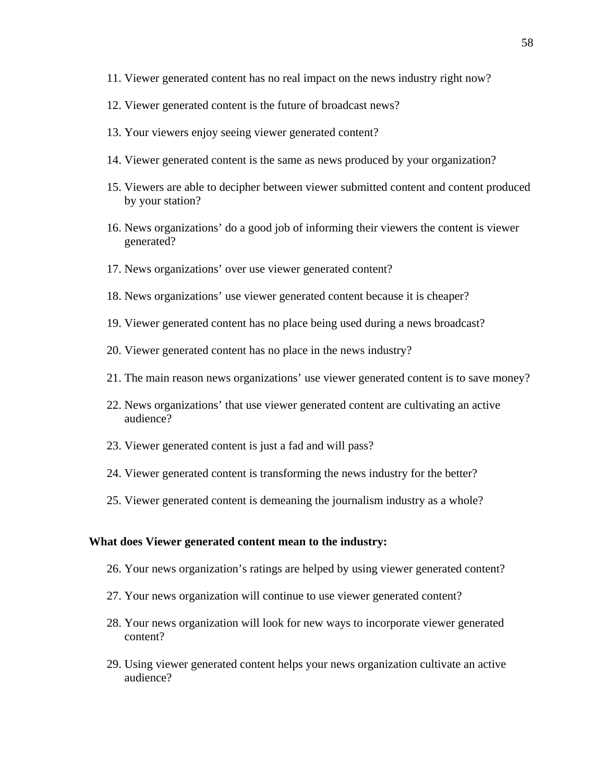- 11. Viewer generated content has no real impact on the news industry right now?
- 12. Viewer generated content is the future of broadcast news?
- 13. Your viewers enjoy seeing viewer generated content?
- 14. Viewer generated content is the same as news produced by your organization?
- 15. Viewers are able to decipher between viewer submitted content and content produced by your station?
- 16. News organizations' do a good job of informing their viewers the content is viewer generated?
- 17. News organizations' over use viewer generated content?
- 18. News organizations' use viewer generated content because it is cheaper?
- 19. Viewer generated content has no place being used during a news broadcast?
- 20. Viewer generated content has no place in the news industry?
- 21. The main reason news organizations' use viewer generated content is to save money?
- 22. News organizations' that use viewer generated content are cultivating an active audience?
- 23. Viewer generated content is just a fad and will pass?
- 24. Viewer generated content is transforming the news industry for the better?
- 25. Viewer generated content is demeaning the journalism industry as a whole?

#### **What does Viewer generated content mean to the industry:**

- 26. Your news organization's ratings are helped by using viewer generated content?
- 27. Your news organization will continue to use viewer generated content?
- 28. Your news organization will look for new ways to incorporate viewer generated content?
- 29. Using viewer generated content helps your news organization cultivate an active audience?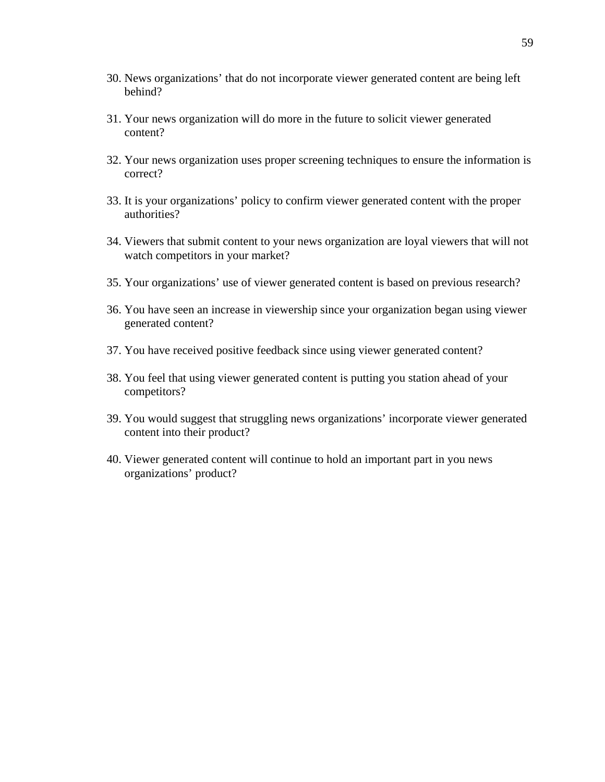- 30. News organizations' that do not incorporate viewer generated content are being left behind?
- 31. Your news organization will do more in the future to solicit viewer generated content?
- 32. Your news organization uses proper screening techniques to ensure the information is correct?
- 33. It is your organizations' policy to confirm viewer generated content with the proper authorities?
- 34. Viewers that submit content to your news organization are loyal viewers that will not watch competitors in your market?
- 35. Your organizations' use of viewer generated content is based on previous research?
- 36. You have seen an increase in viewership since your organization began using viewer generated content?
- 37. You have received positive feedback since using viewer generated content?
- 38. You feel that using viewer generated content is putting you station ahead of your competitors?
- 39. You would suggest that struggling news organizations' incorporate viewer generated content into their product?
- 40. Viewer generated content will continue to hold an important part in you news organizations' product?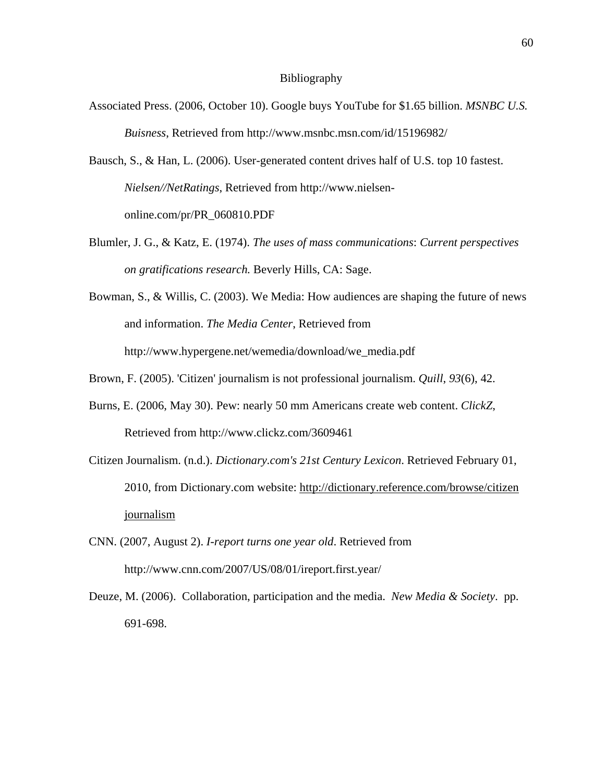#### Bibliography

- Associated Press. (2006, October 10). Google buys YouTube for \$1.65 billion. *MSNBC U.S. Buisness*, Retrieved from http://www.msnbc.msn.com/id/15196982/
- Bausch, S., & Han, L. (2006). User-generated content drives half of U.S. top 10 fastest. *Nielsen//NetRatings*, Retrieved from http://www.nielsen online.com/pr/PR\_060810.PDF
- Blumler, J. G., & Katz, E. (1974). *The uses of mass communications*: *Current perspectives on gratifications research.* Beverly Hills, CA: Sage.
- Bowman, S., & Willis, C. (2003). We Media: How audiences are shaping the future of news and information. *The Media Center*, Retrieved from http://www.hypergene.net/wemedia/download/we\_media.pdf
- Brown, F. (2005). 'Citizen' journalism is not professional journalism. *Quill*, *93*(6), 42.
- Burns, E. (2006, May 30). Pew: nearly 50 mm Americans create web content. *ClickZ*, Retrieved from http://www.clickz.com/3609461
- Citizen Journalism. (n.d.). *Dictionary.com's 21st Century Lexicon*. Retrieved February 01, 2010, from Dictionary.com website: http://dictionary.reference.com/browse/citizen journalism
- CNN. (2007, August 2). *I-report turns one year old*. Retrieved from http://www.cnn.com/2007/US/08/01/ireport.first.year/
- Deuze, M. (2006). Collaboration, participation and the media. *New Media & Society*. pp. 691-698.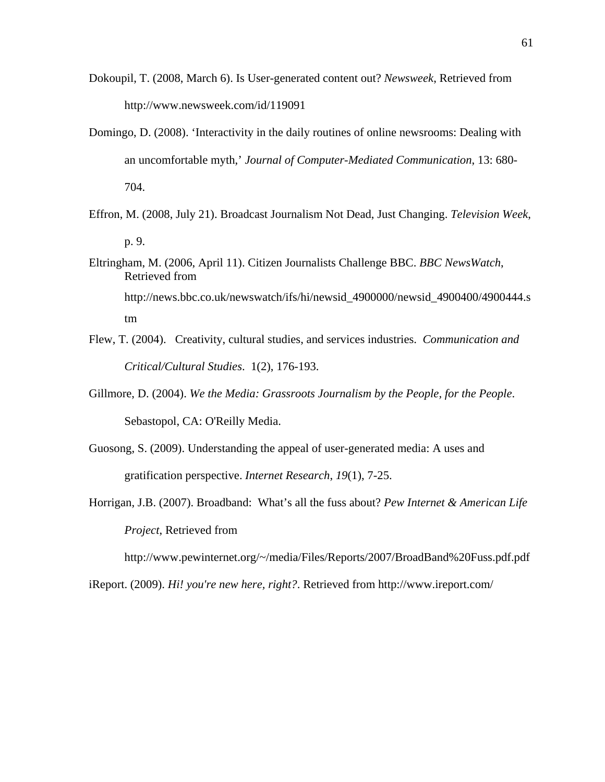- Dokoupil, T. (2008, March 6). Is User-generated content out? *Newsweek*, Retrieved from http://www.newsweek.com/id/119091
- Domingo, D. (2008). 'Interactivity in the daily routines of online newsrooms: Dealing with an uncomfortable myth,' *Journal of Computer-Mediated Communication*, 13: 680- 704.
- Effron, M. (2008, July 21). Broadcast Journalism Not Dead, Just Changing. *Television Week*, p. 9.
- Eltringham, M. (2006, April 11). Citizen Journalists Challenge BBC. *BBC NewsWatch*, Retrieved from http://news.bbc.co.uk/newswatch/ifs/hi/newsid\_4900000/newsid\_4900400/4900444.s tm
- Flew, T. (2004). Creativity, cultural studies, and services industries. *Communication and Critical/Cultural Studies*. 1(2), 176-193.
- Gillmore, D. (2004). *We the Media: Grassroots Journalism by the People, for the People*. Sebastopol, CA: O'Reilly Media.
- Guosong, S. (2009). Understanding the appeal of user-generated media: A uses and gratification perspective. *Internet Research*, *19*(1), 7-25.
- Horrigan, J.B. (2007). Broadband: What's all the fuss about? *Pew Internet & American Life Project*, Retrieved from

http://www.pewinternet.org/~/media/Files/Reports/2007/BroadBand%20Fuss.pdf.pdf

iReport. (2009). *Hi! you're new here, right?*. Retrieved from http://www.ireport.com/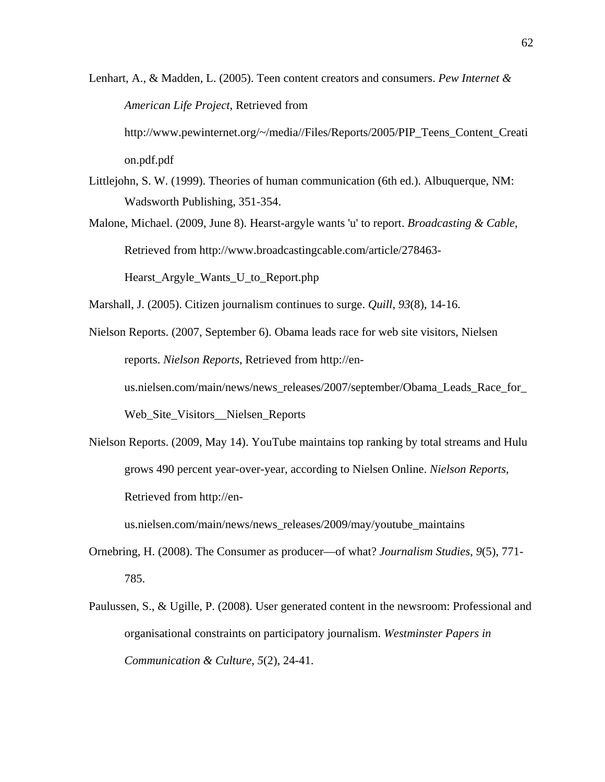Lenhart, A., & Madden, L. (2005). Teen content creators and consumers. *Pew Internet & American Life Project*, Retrieved from

 http://www.pewinternet.org/~/media//Files/Reports/2005/PIP\_Teens\_Content\_Creati on.pdf.pdf

- Littlejohn, S. W. (1999). Theories of human communication (6th ed.). Albuquerque, NM: Wadsworth Publishing, 351-354.
- Malone, Michael. (2009, June 8). Hearst-argyle wants 'u' to report. *Broadcasting & Cable*, Retrieved from http://www.broadcastingcable.com/article/278463- Hearst Argyle Wants U to Report.php

Marshall, J. (2005). Citizen journalism continues to surge. *Quill*, *93*(8), 14-16.

- Nielson Reports. (2007, September 6). Obama leads race for web site visitors, Nielsen reports. *Nielson Reports*, Retrieved from http://en us.nielsen.com/main/news/news\_releases/2007/september/Obama\_Leads\_Race\_for Web Site Visitors Nielsen Reports
- Nielson Reports. (2009, May 14). YouTube maintains top ranking by total streams and Hulu grows 490 percent year-over-year, according to Nielsen Online. *Nielson Reports*, Retrieved from http://en-

us.nielsen.com/main/news/news\_releases/2009/may/youtube\_maintains

- Ornebring, H. (2008). The Consumer as producer—of what? *Journalism Studies*, *9*(5), 771- 785.
- Paulussen, S., & Ugille, P. (2008). User generated content in the newsroom: Professional and organisational constraints on participatory journalism. *Westminster Papers in Communication & Culture*, *5*(2), 24-41.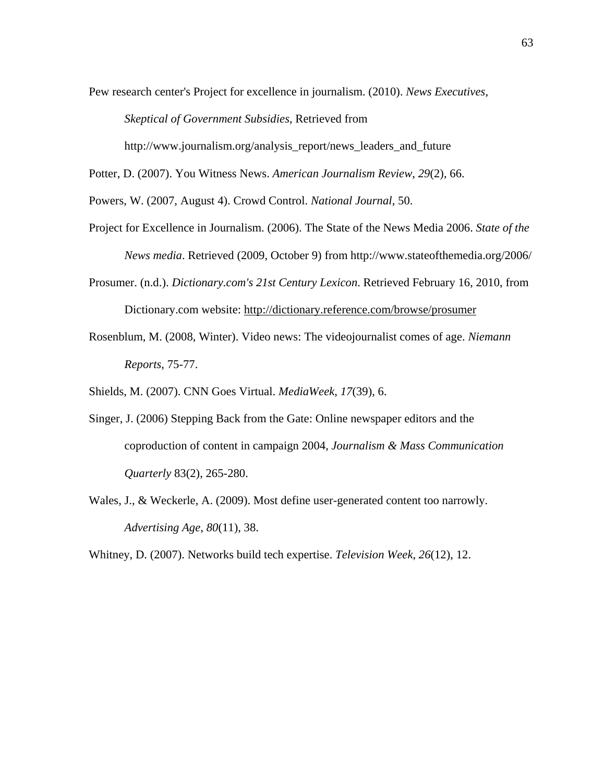Pew research center's Project for excellence in journalism. (2010). *News Executives,* 

*Skeptical of Government Subsidies*, Retrieved from

http://www.journalism.org/analysis\_report/news\_leaders\_and\_future

Potter, D. (2007). You Witness News. *American Journalism Review*, *29*(2), 66.

Powers, W. (2007, August 4). Crowd Control. *National Journal*, 50.

- Project for Excellence in Journalism. (2006). The State of the News Media 2006. *State of the News media*. Retrieved (2009, October 9) from http://www.stateofthemedia.org/2006/
- Prosumer. (n.d.). *Dictionary.com's 21st Century Lexicon*. Retrieved February 16, 2010, from Dictionary.com website: http://dictionary.reference.com/browse/prosumer
- Rosenblum, M. (2008, Winter). Video news: The videojournalist comes of age. *Niemann Reports*, 75-77.

Shields, M. (2007). CNN Goes Virtual. *MediaWeek*, *17*(39), 6.

- Singer, J. (2006) Stepping Back from the Gate: Online newspaper editors and the coproduction of content in campaign 2004, *Journalism & Mass Communication Quarterly* 83(2), 265-280.
- Wales, J., & Weckerle, A. (2009). Most define user-generated content too narrowly. *Advertising Age*, *80*(11), 38.

Whitney, D. (2007). Networks build tech expertise. *Television Week*, *26*(12), 12.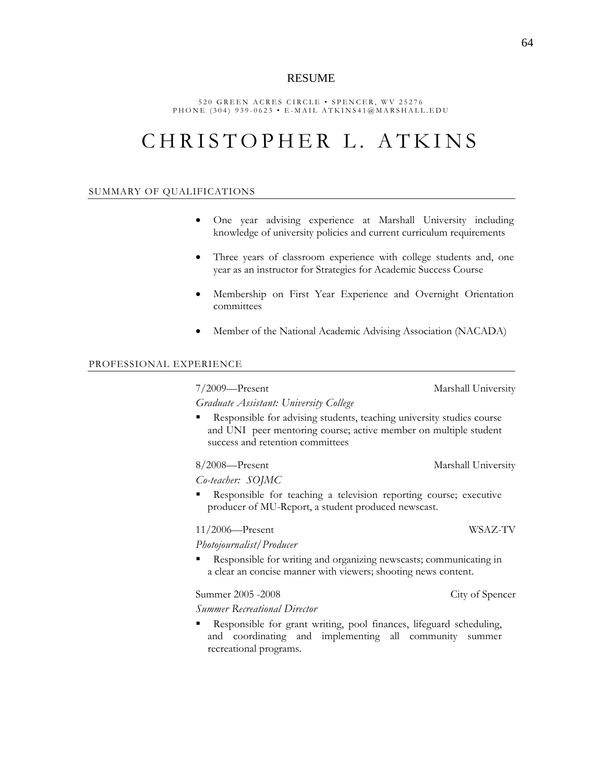#### RESUME

520 GREEN ACRES CIRCLE • SPENCER, WV 25276 PHONE (304) 939-0623 • E-MAIL ATKINS41@MARSHALL.EDU

## CHRISTOPHER L. ATKINS

#### SUMMARY OF QUALIFICATIONS

- One year advising experience at Marshall University including knowledge of university policies and current curriculum requirements
- Three years of classroom experience with college students and, one year as an instructor for Strategies for Academic Success Course
- Membership on First Year Experience and Overnight Orientation committees
- Member of the National Academic Advising Association (NACADA)

#### PROFESSIONAL EXPERIENCE

7/2009—Present Marshall University

*Graduate Assistant: University College* 

 Responsible for advising students, teaching university studies course and UNI peer mentoring course; active member on multiple student success and retention committees

8/2008—Present Marshall University

*Co-teacher: SOJMC* 

 Responsible for teaching a television reporting course; executive producer of MU-Report, a student produced newscast.

11/2006—Present WSAZ-TV

*Photojournalist/Producer* 

 Responsible for writing and organizing newscasts; communicating in a clear an concise manner with viewers; shooting news content.

#### Summer 2005 -2008 City of Spencer

*Summer Recreational Director* 

 Responsible for grant writing, pool finances, lifeguard scheduling, and coordinating and implementing all community summer recreational programs.